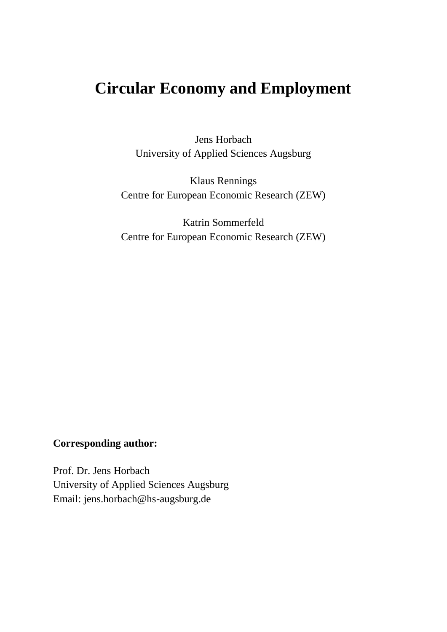# **Circular Economy and Employment**

Jens Horbach University of Applied Sciences Augsburg

Klaus Rennings Centre for European Economic Research (ZEW)

Katrin Sommerfeld Centre for European Economic Research (ZEW)

## **Corresponding author:**

Prof. Dr. Jens Horbach University of Applied Sciences Augsburg Email: jens.horbach@hs-augsburg.de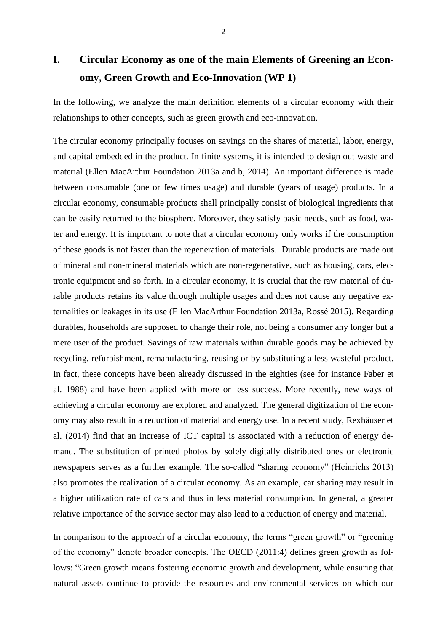# **I. Circular Economy as one of the main Elements of Greening an Economy, Green Growth and Eco-Innovation (WP 1)**

In the following, we analyze the main definition elements of a circular economy with their relationships to other concepts, such as green growth and eco-innovation.

The circular economy principally focuses on savings on the shares of material, labor, energy, and capital embedded in the product. In finite systems, it is intended to design out waste and material (Ellen MacArthur Foundation 2013a and b, 2014). An important difference is made between consumable (one or few times usage) and durable (years of usage) products. In a circular economy, consumable products shall principally consist of biological ingredients that can be easily returned to the biosphere. Moreover, they satisfy basic needs, such as food, water and energy. It is important to note that a circular economy only works if the consumption of these goods is not faster than the regeneration of materials. Durable products are made out of mineral and non-mineral materials which are non-regenerative, such as housing, cars, electronic equipment and so forth. In a circular economy, it is crucial that the raw material of durable products retains its value through multiple usages and does not cause any negative externalities or leakages in its use (Ellen MacArthur Foundation 2013a, Rossé 2015). Regarding durables, households are supposed to change their role, not being a consumer any longer but a mere user of the product. Savings of raw materials within durable goods may be achieved by recycling, refurbishment, remanufacturing, reusing or by substituting a less wasteful product. In fact, these concepts have been already discussed in the eighties (see for instance Faber et al. 1988) and have been applied with more or less success. More recently, new ways of achieving a circular economy are explored and analyzed. The general digitization of the economy may also result in a reduction of material and energy use. In a recent study, Rexhäuser et al. (2014) find that an increase of ICT capital is associated with a reduction of energy demand. The substitution of printed photos by solely digitally distributed ones or electronic newspapers serves as a further example. The so-called "sharing economy" (Heinrichs 2013) also promotes the realization of a circular economy. As an example, car sharing may result in a higher utilization rate of cars and thus in less material consumption. In general, a greater relative importance of the service sector may also lead to a reduction of energy and material.

In comparison to the approach of a circular economy, the terms "green growth" or "greening of the economy" denote broader concepts. The OECD (2011:4) defines green growth as follows: "Green growth means fostering economic growth and development, while ensuring that natural assets continue to provide the resources and environmental services on which our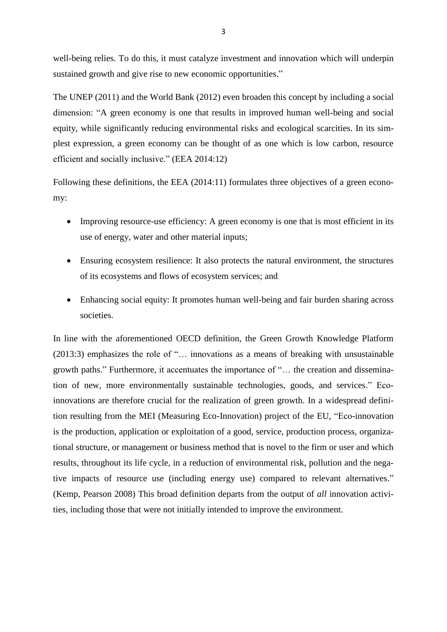well-being relies. To do this, it must catalyze investment and innovation which will underpin sustained growth and give rise to new economic opportunities."

The UNEP (2011) and the World Bank (2012) even broaden this concept by including a social dimension: "A green economy is one that results in improved human well-being and social equity, while significantly reducing environmental risks and ecological scarcities. In its simplest expression, a green economy can be thought of as one which is low carbon, resource efficient and socially inclusive." (EEA 2014:12)

Following these definitions, the EEA (2014:11) formulates three objectives of a green economy:

- Improving resource-use efficiency: A green economy is one that is most efficient in its use of energy, water and other material inputs;
- Ensuring ecosystem resilience: It also protects the natural environment, the structures of its ecosystems and flows of ecosystem services; and
- Enhancing social equity: It promotes human well-being and fair burden sharing across societies.

In line with the aforementioned OECD definition, the Green Growth Knowledge Platform (2013:3) emphasizes the role of "… innovations as a means of breaking with unsustainable growth paths." Furthermore, it accentuates the importance of "… the creation and dissemination of new, more environmentally sustainable technologies, goods, and services." Ecoinnovations are therefore crucial for the realization of green growth. In a widespread definition resulting from the MEI (Measuring Eco-Innovation) project of the EU, "Eco-innovation is the production, application or exploitation of a good, service, production process, organizational structure, or management or business method that is novel to the firm or user and which results, throughout its life cycle, in a reduction of environmental risk, pollution and the negative impacts of resource use (including energy use) compared to relevant alternatives." (Kemp, Pearson 2008) This broad definition departs from the output of *all* innovation activities, including those that were not initially intended to improve the environment.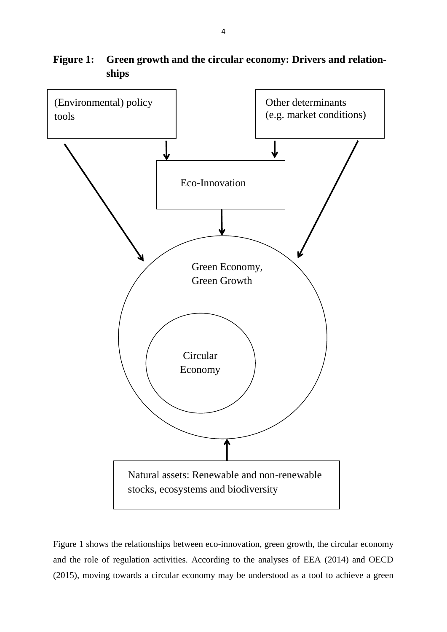hhhhhh (Environmental) policy tools Other determinants (e.g. market conditions) Eco-Innovation Green Economy, Green Growth **Circular** Economy Natural assets: Renewable and non-renewable stocks, ecosystems and biodiversity

**Figure 1: Green growth and the circular economy: Drivers and relationships**

Figure 1 shows the relationships between eco-innovation, green growth, the circular economy and the role of regulation activities. According to the analyses of EEA (2014) and OECD (2015), moving towards a circular economy may be understood as a tool to achieve a green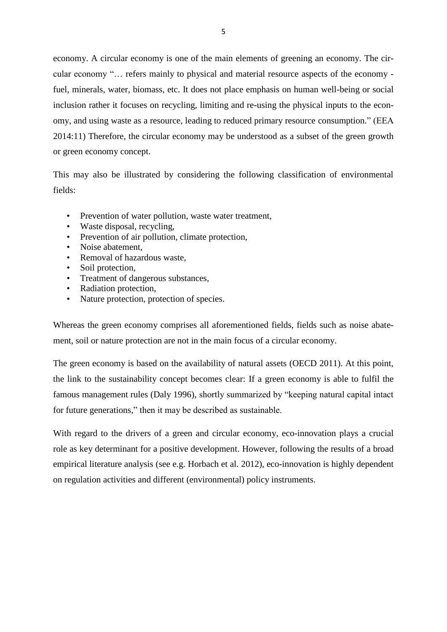economy. A circular economy is one of the main elements of greening an economy. The circular economy "… refers mainly to physical and material resource aspects of the economy fuel, minerals, water, biomass, etc. It does not place emphasis on human well-being or social inclusion rather it focuses on recycling, limiting and re-using the physical inputs to the economy, and using waste as a resource, leading to reduced primary resource consumption." (EEA 2014:11) Therefore, the circular economy may be understood as a subset of the green growth or green economy concept.

This may also be illustrated by considering the following classification of environmental fields:

- Prevention of water pollution, waste water treatment,
- Waste disposal, recycling,
- Prevention of air pollution, climate protection,
- Noise abatement.
- Removal of hazardous waste,
- Soil protection,
- Treatment of dangerous substances,
- Radiation protection,
- Nature protection, protection of species.

Whereas the green economy comprises all aforementioned fields, fields such as noise abatement, soil or nature protection are not in the main focus of a circular economy.

The green economy is based on the availability of natural assets (OECD 2011). At this point, the link to the sustainability concept becomes clear: If a green economy is able to fulfil the famous management rules (Daly 1996), shortly summarized by "keeping natural capital intact for future generations," then it may be described as sustainable.

With regard to the drivers of a green and circular economy, eco-innovation plays a crucial role as key determinant for a positive development. However, following the results of a broad empirical literature analysis (see e.g. Horbach et al. 2012), eco-innovation is highly dependent on regulation activities and different (environmental) policy instruments.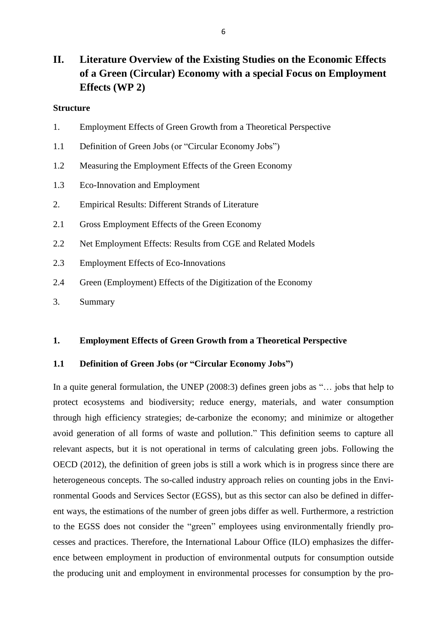## **II. Literature Overview of the Existing Studies on the Economic Effects of a Green (Circular) Economy with a special Focus on Employment Effects (WP 2)**

### **Structure**

- 1. Employment Effects of Green Growth from a Theoretical Perspective
- 1.1 Definition of Green Jobs (or "Circular Economy Jobs")
- 1.2 Measuring the Employment Effects of the Green Economy
- 1.3 Eco-Innovation and Employment
- 2. Empirical Results: Different Strands of Literature
- 2.1 Gross Employment Effects of the Green Economy
- 2.2 Net Employment Effects: Results from CGE and Related Models
- 2.3 Employment Effects of Eco-Innovations
- 2.4 Green (Employment) Effects of the Digitization of the Economy
- 3. Summary

## **1. Employment Effects of Green Growth from a Theoretical Perspective**

### **1.1 Definition of Green Jobs (or "Circular Economy Jobs")**

In a quite general formulation, the UNEP (2008:3) defines green jobs as "… jobs that help to protect ecosystems and biodiversity; reduce energy, materials, and water consumption through high efficiency strategies; de-carbonize the economy; and minimize or altogether avoid generation of all forms of waste and pollution." This definition seems to capture all relevant aspects, but it is not operational in terms of calculating green jobs. Following the OECD (2012), the definition of green jobs is still a work which is in progress since there are heterogeneous concepts. The so-called industry approach relies on counting jobs in the Environmental Goods and Services Sector (EGSS), but as this sector can also be defined in different ways, the estimations of the number of green jobs differ as well. Furthermore, a restriction to the EGSS does not consider the "green" employees using environmentally friendly processes and practices. Therefore, the International Labour Office (ILO) emphasizes the difference between employment in production of environmental outputs for consumption outside the producing unit and employment in environmental processes for consumption by the pro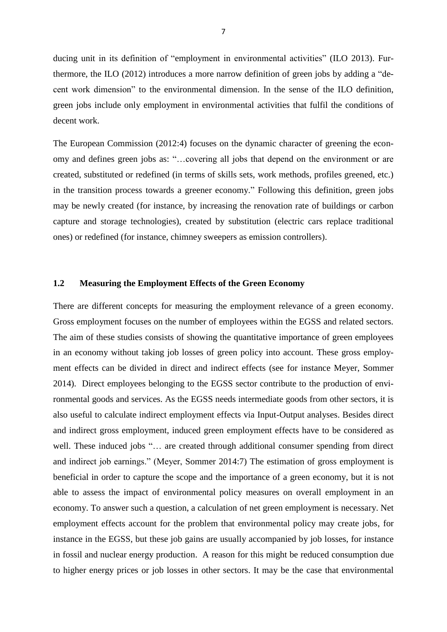ducing unit in its definition of "employment in environmental activities" [\(ILO 2013\)](#page-35-0). Furthermore, the ILO (2012) introduces a more narrow definition of green jobs by adding a "decent work dimension" to the environmental dimension. In the sense of the ILO definition, green jobs include only employment in environmental activities that fulfil the conditions of decent work.

The European Commission (2012:4) focuses on the dynamic character of greening the economy and defines green jobs as: "…covering all jobs that depend on the environment or are created, substituted or redefined (in terms of skills sets, work methods, profiles greened, etc.) in the transition process towards a greener economy." Following this definition, green jobs may be newly created (for instance, by increasing the renovation rate of buildings or carbon capture and storage technologies), created by substitution (electric cars replace traditional ones) or redefined (for instance, chimney sweepers as emission controllers).

## **1.2 Measuring the Employment Effects of the Green Economy**

There are different concepts for measuring the employment relevance of a green economy. Gross employment focuses on the number of employees within the EGSS and related sectors. The aim of these studies consists of showing the quantitative importance of green employees in an economy without taking job losses of green policy into account. These gross employment effects can be divided in direct and indirect effects (see for instance Meyer, Sommer 2014). Direct employees belonging to the EGSS sector contribute to the production of environmental goods and services. As the EGSS needs intermediate goods from other sectors, it is also useful to calculate indirect employment effects via Input-Output analyses. Besides direct and indirect gross employment, induced green employment effects have to be considered as well. These induced jobs "… are created through additional consumer spending from direct and indirect job earnings." (Meyer, Sommer 2014:7) The estimation of gross employment is beneficial in order to capture the scope and the importance of a green economy, but it is not able to assess the impact of environmental policy measures on overall employment in an economy. To answer such a question, a calculation of net green employment is necessary. Net employment effects account for the problem that environmental policy may create jobs, for instance in the EGSS, but these job gains are usually accompanied by job losses, for instance in fossil and nuclear energy production. A reason for this might be reduced consumption due to higher energy prices or job losses in other sectors. It may be the case that environmental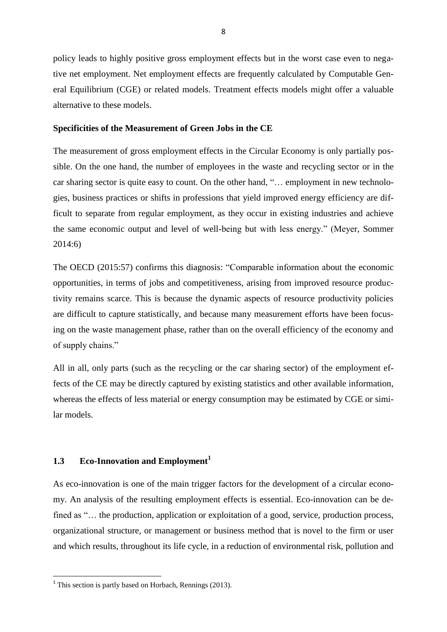policy leads to highly positive gross employment effects but in the worst case even to negative net employment. Net employment effects are frequently calculated by Computable General Equilibrium (CGE) or related models. Treatment effects models might offer a valuable alternative to these models.

### **Specificities of the Measurement of Green Jobs in the CE**

The measurement of gross employment effects in the Circular Economy is only partially possible. On the one hand, the number of employees in the waste and recycling sector or in the car sharing sector is quite easy to count. On the other hand, "… employment in new technologies, business practices or shifts in professions that yield improved energy efficiency are difficult to separate from regular employment, as they occur in existing industries and achieve the same economic output and level of well-being but with less energy." (Meyer, Sommer 2014:6)

The OECD (2015:57) confirms this diagnosis: "Comparable information about the economic opportunities, in terms of jobs and competitiveness, arising from improved resource productivity remains scarce. This is because the dynamic aspects of resource productivity policies are difficult to capture statistically, and because many measurement efforts have been focusing on the waste management phase, rather than on the overall efficiency of the economy and of supply chains."

All in all, only parts (such as the recycling or the car sharing sector) of the employment effects of the CE may be directly captured by existing statistics and other available information, whereas the effects of less material or energy consumption may be estimated by CGE or similar models.

## **1.3 Eco-Innovation and Employment<sup>1</sup>**

As eco-innovation is one of the main trigger factors for the development of a circular economy. An analysis of the resulting employment effects is essential. Eco-innovation can be defined as "... the production, application or exploitation of a good, service, production process, organizational structure, or management or business method that is novel to the firm or user and which results, throughout its life cycle, in a reduction of environmental risk, pollution and

**.** 

 $<sup>1</sup>$  This section is partly based on Horbach, Rennings (2013).</sup>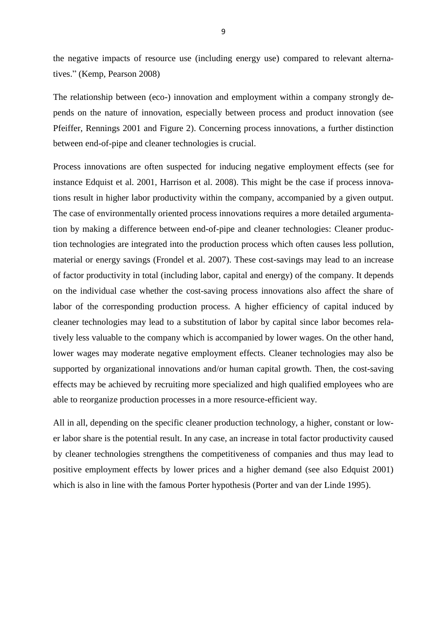the negative impacts of resource use (including energy use) compared to relevant alternatives." (Kemp, Pearson 2008)

The relationship between (eco-) innovation and employment within a company strongly depends on the nature of innovation, especially between process and product innovation (see Pfeiffer, Rennings 2001 and Figure 2). Concerning process innovations, a further distinction between end-of-pipe and cleaner technologies is crucial.

Process innovations are often suspected for inducing negative employment effects (see for instance Edquist et al. 2001, Harrison et al. 2008). This might be the case if process innovations result in higher labor productivity within the company, accompanied by a given output. The case of environmentally oriented process innovations requires a more detailed argumentation by making a difference between end-of-pipe and cleaner technologies: Cleaner production technologies are integrated into the production process which often causes less pollution, material or energy savings (Frondel et al. 2007). These cost-savings may lead to an increase of factor productivity in total (including labor, capital and energy) of the company. It depends on the individual case whether the cost-saving process innovations also affect the share of labor of the corresponding production process. A higher efficiency of capital induced by cleaner technologies may lead to a substitution of labor by capital since labor becomes relatively less valuable to the company which is accompanied by lower wages. On the other hand, lower wages may moderate negative employment effects. Cleaner technologies may also be supported by organizational innovations and/or human capital growth. Then, the cost-saving effects may be achieved by recruiting more specialized and high qualified employees who are able to reorganize production processes in a more resource-efficient way.

All in all, depending on the specific cleaner production technology, a higher, constant or lower labor share is the potential result. In any case, an increase in total factor productivity caused by cleaner technologies strengthens the competitiveness of companies and thus may lead to positive employment effects by lower prices and a higher demand (see also Edquist 2001) which is also in line with the famous Porter hypothesis (Porter and van der Linde 1995).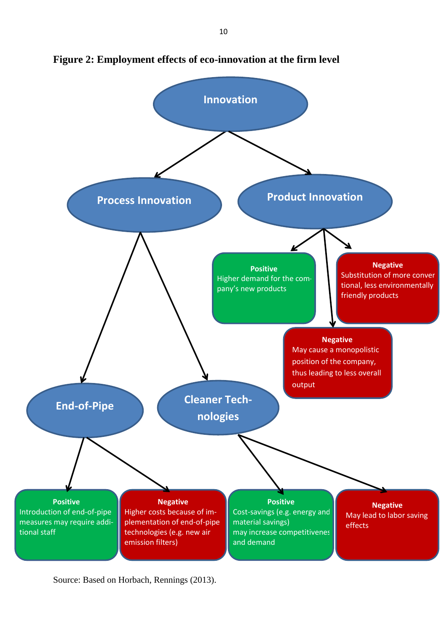

**Figure 2: Employment effects of eco-innovation at the firm level**

Source: Based on Horbach, Rennings (2013).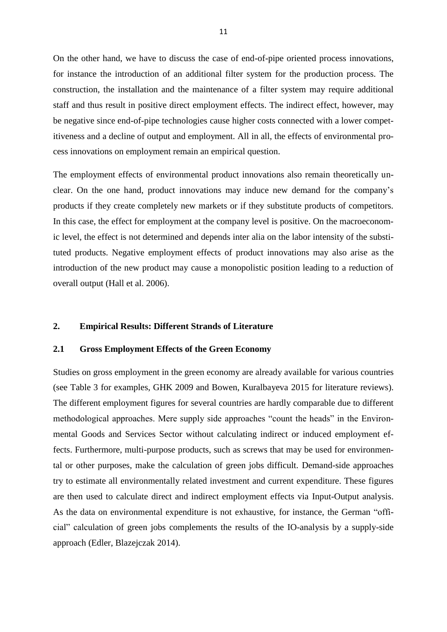On the other hand, we have to discuss the case of end-of-pipe oriented process innovations, for instance the introduction of an additional filter system for the production process. The construction, the installation and the maintenance of a filter system may require additional staff and thus result in positive direct employment effects. The indirect effect, however, may be negative since end-of-pipe technologies cause higher costs connected with a lower competitiveness and a decline of output and employment. All in all, the effects of environmental process innovations on employment remain an empirical question.

The employment effects of environmental product innovations also remain theoretically unclear. On the one hand, product innovations may induce new demand for the company's products if they create completely new markets or if they substitute products of competitors. In this case, the effect for employment at the company level is positive. On the macroeconomic level, the effect is not determined and depends inter alia on the labor intensity of the substituted products. Negative employment effects of product innovations may also arise as the introduction of the new product may cause a monopolistic position leading to a reduction of overall output (Hall et al. 2006).

## **2. Empirical Results: Different Strands of Literature**

## **2.1 Gross Employment Effects of the Green Economy**

Studies on gross employment in the green economy are already available for various countries (see Table 3 for examples, GHK 2009 and Bowen, Kuralbayeva 2015 for literature reviews). The different employment figures for several countries are hardly comparable due to different methodological approaches. Mere supply side approaches "count the heads" in the Environmental Goods and Services Sector without calculating indirect or induced employment effects. Furthermore, multi-purpose products, such as screws that may be used for environmental or other purposes, make the calculation of green jobs difficult. Demand-side approaches try to estimate all environmentally related investment and current expenditure. These figures are then used to calculate direct and indirect employment effects via Input-Output analysis. As the data on environmental expenditure is not exhaustive, for instance, the German "official" calculation of green jobs complements the results of the IO-analysis by a supply-side approach (Edler, Blazejczak 2014).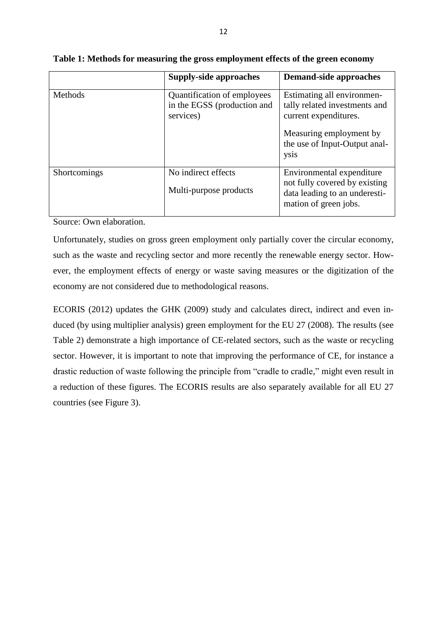|              | <b>Supply-side approaches</b>                                           | <b>Demand-side approaches</b>                                                                                                                            |
|--------------|-------------------------------------------------------------------------|----------------------------------------------------------------------------------------------------------------------------------------------------------|
| Methods      | Quantification of employees<br>in the EGSS (production and<br>services) | Estimating all environmen-<br>tally related investments and<br>current expenditures.<br>Measuring employment by<br>the use of Input-Output anal-<br>ysis |
| Shortcomings | No indirect effects<br>Multi-purpose products                           | Environmental expenditure<br>not fully covered by existing<br>data leading to an underesti-<br>mation of green jobs.                                     |

|  |  | Table 1: Methods for measuring the gross employment effects of the green economy |  |  |  |  |  |
|--|--|----------------------------------------------------------------------------------|--|--|--|--|--|
|  |  |                                                                                  |  |  |  |  |  |

Source: Own elaboration.

Unfortunately, studies on gross green employment only partially cover the circular economy, such as the waste and recycling sector and more recently the renewable energy sector. However, the employment effects of energy or waste saving measures or the digitization of the economy are not considered due to methodological reasons.

ECORIS (2012) updates the GHK (2009) study and calculates direct, indirect and even induced (by using multiplier analysis) green employment for the EU 27 (2008). The results (see Table 2) demonstrate a high importance of CE-related sectors, such as the waste or recycling sector. However, it is important to note that improving the performance of CE, for instance a drastic reduction of waste following the principle from "cradle to cradle," might even result in a reduction of these figures. The ECORIS results are also separately available for all EU 27 countries (see Figure 3).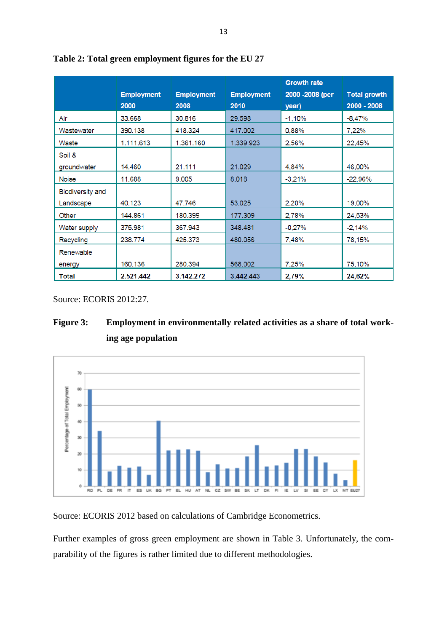|                         | <b>Employment</b><br>2000 | <b>Employment</b><br>2008 | <b>Employment</b><br>2010 | <b>Growth rate</b><br>2000 - 2008 (per<br>year) | <b>Total growth</b><br>2000 - 2008 |
|-------------------------|---------------------------|---------------------------|---------------------------|-------------------------------------------------|------------------------------------|
| Air                     | 33.668                    | 30.816                    | 29.598                    | $-1,10%$                                        | $-8,47%$                           |
| Wastewater              | 390.138                   | 418.324                   | 417.002                   | 0,88%                                           | 7,22%                              |
| Waste                   | 1.111.613                 | 1.361.160                 | 1.339.923                 | 2,56%                                           | 22,45%                             |
| Soil &                  |                           |                           |                           |                                                 |                                    |
| groundwater             | 14.460                    | 21.111                    | 21.029                    | 4,84%                                           | 46,00%                             |
| Noise                   | 11.688                    | 9.005                     | 8.018                     | $-3,21%$                                        | $-22,96%$                          |
| <b>Biodiversity and</b> |                           |                           |                           |                                                 |                                    |
| Landscape               | 40.123                    | 47.746                    | 53.025                    | 2,20%                                           | 19,00%                             |
| Other                   | 144.861                   | 180.399                   | 177.309                   | 2,78%                                           | 24,53%                             |
| Water supply            | 375.981                   | 367.943                   | 348.481                   | $-0.27%$                                        | $-2,14%$                           |
| Recycling               | 238.774                   | 425.373                   | 480.056                   | 7,48%                                           | 78,15%                             |
| Renewable               |                           |                           |                           |                                                 |                                    |
| energy                  | 160.136                   | 280.394                   | 568.002                   | 7,25%                                           | 75,10%                             |
| Total                   | 2.521.442                 | 3.142.272                 | 3.442.443                 | 2,79%                                           | 24,62%                             |



Source: ECORIS 2012:27.





Source: ECORIS 2012 based on calculations of Cambridge Econometrics.

Further examples of gross green employment are shown in Table 3. Unfortunately, the comparability of the figures is rather limited due to different methodologies.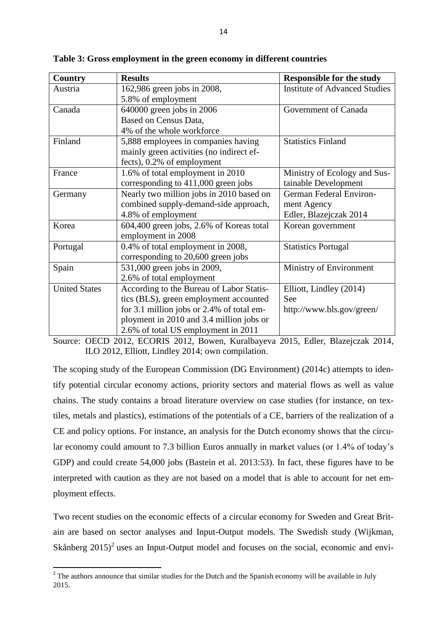| <b>Country</b>       | <b>Results</b>                            | <b>Responsible for the study</b>     |
|----------------------|-------------------------------------------|--------------------------------------|
| Austria              | 162,986 green jobs in 2008,               | <b>Institute of Advanced Studies</b> |
|                      | 5.8% of employment                        |                                      |
| Canada               | $640000$ green jobs in 2006               | Government of Canada                 |
|                      | Based on Census Data,                     |                                      |
|                      | 4% of the whole workforce                 |                                      |
| Finland              | 5,888 employees in companies having       | <b>Statistics Finland</b>            |
|                      | mainly green activities (no indirect ef-  |                                      |
|                      | fects), 0.2% of employment                |                                      |
| France               | 1.6% of total employment in 2010          | Ministry of Ecology and Sus-         |
|                      | corresponding to 411,000 green jobs       | tainable Development                 |
| Germany              | Nearly two million jobs in 2010 based on  | German Federal Environ-              |
|                      | combined supply-demand-side approach,     | ment Agency                          |
|                      | 4.8% of employment                        | Edler, Blazejczak 2014               |
| Korea                | 604,400 green jobs, 2.6% of Koreas total  | Korean government                    |
|                      | employment in 2008                        |                                      |
| Portugal             | 0.4% of total employment in 2008,         | <b>Statistics Portugal</b>           |
|                      | corresponding to 20,600 green jobs        |                                      |
| Spain                | 531,000 green jobs in 2009,               | Ministry of Environment              |
|                      | 2.6% of total employment                  |                                      |
| <b>United States</b> | According to the Bureau of Labor Statis-  | Elliott, Lindley (2014)              |
|                      | tics (BLS), green employment accounted    | See                                  |
|                      | for 3.1 million jobs or 2.4% of total em- | http://www.bls.gov/green/            |
|                      | ployment in 2010 and 3.4 million jobs or  |                                      |
|                      | 2.6% of total US employment in 2011       |                                      |

**Table 3: Gross employment in the green economy in different countries**

Source: OECD 2012, ECORIS 2012, Bowen, Kuralbayeva 2015, Edler, Blazejczak 2014, ILO 2012, Elliott, Lindley 2014; own compilation.

The scoping study of the European Commission (DG Environment) (2014c) attempts to identify potential circular economy actions, priority sectors and material flows as well as value chains. The study contains a broad literature overview on case studies (for instance, on textiles, metals and plastics), estimations of the potentials of a CE, barriers of the realization of a CE and policy options. For instance, an analysis for the Dutch economy shows that the circular economy could amount to 7.3 billion Euros annually in market values (or 1.4% of today's GDP) and could create 54,000 jobs (Bastein et al. 2013:53). In fact, these figures have to be interpreted with caution as they are not based on a model that is able to account for net employment effects.

Two recent studies on the economic effects of a circular economy for Sweden and Great Britain are based on sector analyses and Input-Output models. The Swedish study (Wijkman, Skånberg  $2015$ <sup>2</sup> uses an Input-Output model and focuses on the social, economic and envi-

**.** 

<sup>&</sup>lt;sup>2</sup> The authors announce that similar studies for the Dutch and the Spanish economy will be available in July 2015.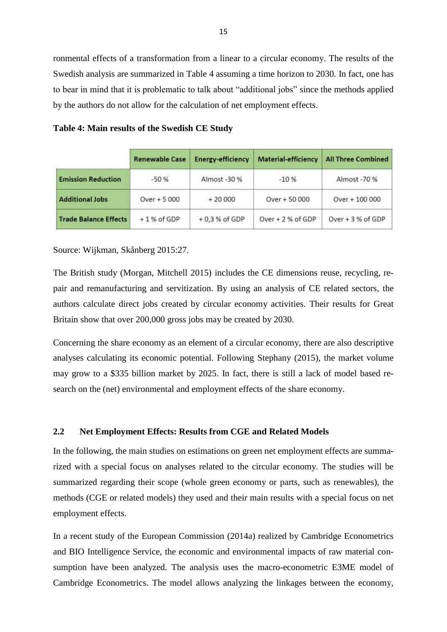ronmental effects of a transformation from a linear to a circular economy. The results of the Swedish analysis are summarized in Table 4 assuming a time horizon to 2030. In fact, one has to bear in mind that it is problematic to talk about "additional jobs" since the methods applied by the authors do not allow for the calculation of net employment effects.

|  |  |  |  | Table 4: Main results of the Swedish CE Study |  |  |
|--|--|--|--|-----------------------------------------------|--|--|
|--|--|--|--|-----------------------------------------------|--|--|

|                              | <b>Renewable Case</b> | <b>Energy-efficiency</b> | <b>Material-efficiency</b> | <b>All Three Combined</b> |
|------------------------------|-----------------------|--------------------------|----------------------------|---------------------------|
| <b>Emission Reduction</b>    | $-50%$                | Almost -30 %             | $-10%$                     | Almost -70 %              |
| <b>Additional Jobs</b>       | Over + 5 000          | $+20000$                 | $Over + 50000$             | Over + 100 000            |
| <b>Trade Balance Effects</b> | $+1%$ of GDP          | $+0.3%$ of GDP           | Over $+2%$ of GDP          | Over + 3 % of GDP         |

Source: Wijkman, Skånberg 2015:27.

The British study (Morgan, Mitchell 2015) includes the CE dimensions reuse, recycling, repair and remanufacturing and servitization. By using an analysis of CE related sectors, the authors calculate direct jobs created by circular economy activities. Their results for Great Britain show that over 200,000 gross jobs may be created by 2030.

Concerning the share economy as an element of a circular economy, there are also descriptive analyses calculating its economic potential. Following Stephany (2015), the market volume may grow to a \$335 billion market by 2025. In fact, there is still a lack of model based research on the (net) environmental and employment effects of the share economy.

## **2.2 Net Employment Effects: Results from CGE and Related Models**

In the following, the main studies on estimations on green net employment effects are summarized with a special focus on analyses related to the circular economy. The studies will be summarized regarding their scope (whole green economy or parts, such as renewables), the methods (CGE or related models) they used and their main results with a special focus on net employment effects.

In a recent study of the European Commission (2014a) realized by Cambridge Econometrics and BIO Intelligence Service, the economic and environmental impacts of raw material consumption have been analyzed. The analysis uses the macro-econometric E3ME model of Cambridge Econometrics. The model allows analyzing the linkages between the economy,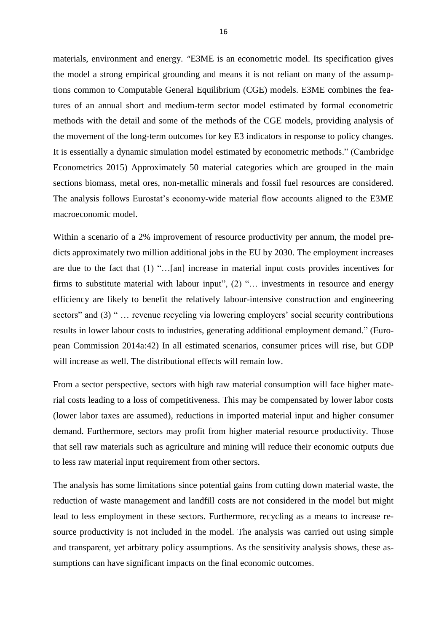materials, environment and energy. "E3ME is an econometric model. Its specification gives the model a strong empirical grounding and means it is not reliant on many of the assumptions common to Computable General Equilibrium (CGE) models. E3ME combines the features of an annual short and medium-term sector model estimated by formal econometric methods with the detail and some of the methods of the CGE models, providing analysis of the movement of the long-term outcomes for key E3 indicators in response to policy changes. It is essentially a dynamic simulation model estimated by econometric methods." (Cambridge Econometrics 2015) Approximately 50 material categories which are grouped in the main sections biomass, metal ores, non-metallic minerals and fossil fuel resources are considered. The analysis follows Eurostat's economy-wide material flow accounts aligned to the E3ME macroeconomic model.

Within a scenario of a 2% improvement of resource productivity per annum, the model predicts approximately two million additional jobs in the EU by 2030. The employment increases are due to the fact that (1) "…[an] increase in material input costs provides incentives for firms to substitute material with labour input", (2) "... investments in resource and energy efficiency are likely to benefit the relatively labour-intensive construction and engineering sectors" and (3) " ... revenue recycling via lowering employers' social security contributions results in lower labour costs to industries, generating additional employment demand." (European Commission 2014a:42) In all estimated scenarios, consumer prices will rise, but GDP will increase as well. The distributional effects will remain low.

From a sector perspective, sectors with high raw material consumption will face higher material costs leading to a loss of competitiveness. This may be compensated by lower labor costs (lower labor taxes are assumed), reductions in imported material input and higher consumer demand. Furthermore, sectors may profit from higher material resource productivity. Those that sell raw materials such as agriculture and mining will reduce their economic outputs due to less raw material input requirement from other sectors.

The analysis has some limitations since potential gains from cutting down material waste, the reduction of waste management and landfill costs are not considered in the model but might lead to less employment in these sectors. Furthermore, recycling as a means to increase resource productivity is not included in the model. The analysis was carried out using simple and transparent, yet arbitrary policy assumptions. As the sensitivity analysis shows, these assumptions can have significant impacts on the final economic outcomes.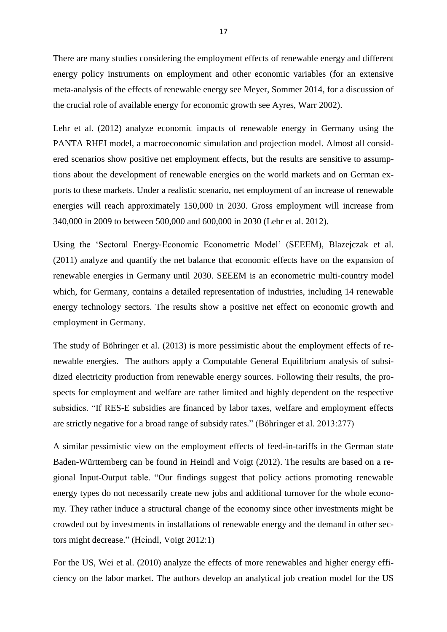There are many studies considering the employment effects of renewable energy and different energy policy instruments on employment and other economic variables (for an extensive meta-analysis of the effects of renewable energy see Meyer, Sommer 2014, for a discussion of the crucial role of available energy for economic growth see Ayres, Warr 2002).

Lehr et al. (2012) analyze economic impacts of renewable energy in Germany using the PANTA RHEI model, a macroeconomic simulation and projection model. Almost all considered scenarios show positive net employment effects, but the results are sensitive to assumptions about the development of renewable energies on the world markets and on German exports to these markets. Under a realistic scenario, net employment of an increase of renewable energies will reach approximately 150,000 in 2030. Gross employment will increase from 340,000 in 2009 to between 500,000 and 600,000 in 2030 (Lehr et al. 2012).

Using the 'Sectoral Energy‐Economic Econometric Model' (SEEEM), Blazejczak et al. (2011) analyze and quantify the net balance that economic effects have on the expansion of renewable energies in Germany until 2030. SEEEM is an econometric multi‐country model which, for Germany, contains a detailed representation of industries, including 14 renewable energy technology sectors. The results show a positive net effect on economic growth and employment in Germany.

The study of Böhringer et al. (2013) is more pessimistic about the employment effects of renewable energies. The authors apply a Computable General Equilibrium analysis of subsidized electricity production from renewable energy sources. Following their results, the prospects for employment and welfare are rather limited and highly dependent on the respective subsidies. "If RES-E subsidies are financed by labor taxes, welfare and employment effects are strictly negative for a broad range of subsidy rates." (Böhringer et al. 2013:277)

A similar pessimistic view on the employment effects of feed-in-tariffs in the German state Baden-Württemberg can be found in Heindl and Voigt (2012). The results are based on a regional Input-Output table. "Our findings suggest that policy actions promoting renewable energy types do not necessarily create new jobs and additional turnover for the whole economy. They rather induce a structural change of the economy since other investments might be crowded out by investments in installations of renewable energy and the demand in other sectors might decrease." (Heindl, Voigt 2012:1)

For the US, Wei et al. (2010) analyze the effects of more renewables and higher energy efficiency on the labor market. The authors develop an analytical job creation model for the US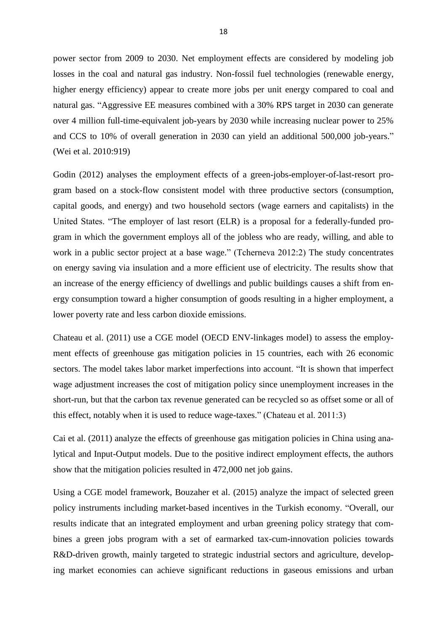power sector from 2009 to 2030. Net employment effects are considered by modeling job losses in the coal and natural gas industry. Non-fossil fuel technologies (renewable energy, higher energy efficiency) appear to create more jobs per unit energy compared to coal and natural gas. "Aggressive EE measures combined with a 30% RPS target in 2030 can generate over 4 million full-time-equivalent job-years by 2030 while increasing nuclear power to 25% and CCS to 10% of overall generation in 2030 can yield an additional 500,000 job-years." (Wei et al. 2010:919)

Godin (2012) analyses the employment effects of a green-jobs-employer-of-last-resort program based on a stock-flow consistent model with three productive sectors (consumption, capital goods, and energy) and two household sectors (wage earners and capitalists) in the United States. "The employer of last resort (ELR) is a proposal for a federally-funded program in which the government employs all of the jobless who are ready, willing, and able to work in a public sector project at a base wage." (Tcherneva 2012:2) The study concentrates on energy saving via insulation and a more efficient use of electricity. The results show that an increase of the energy efficiency of dwellings and public buildings causes a shift from energy consumption toward a higher consumption of goods resulting in a higher employment, a lower poverty rate and less carbon dioxide emissions.

Chateau et al. (2011) use a CGE model (OECD ENV-linkages model) to assess the employment effects of greenhouse gas mitigation policies in 15 countries, each with 26 economic sectors. The model takes labor market imperfections into account. "It is shown that imperfect wage adjustment increases the cost of mitigation policy since unemployment increases in the short-run, but that the carbon tax revenue generated can be recycled so as offset some or all of this effect, notably when it is used to reduce wage-taxes." (Chateau et al. 2011:3)

Cai et al. (2011) analyze the effects of greenhouse gas mitigation policies in China using analytical and Input-Output models. Due to the positive indirect employment effects, the authors show that the mitigation policies resulted in 472,000 net job gains.

Using a CGE model framework, Bouzaher et al. (2015) analyze the impact of selected green policy instruments including market-based incentives in the Turkish economy. "Overall, our results indicate that an integrated employment and urban greening policy strategy that combines a green jobs program with a set of earmarked tax-cum-innovation policies towards R&D-driven growth, mainly targeted to strategic industrial sectors and agriculture, developing market economies can achieve significant reductions in gaseous emissions and urban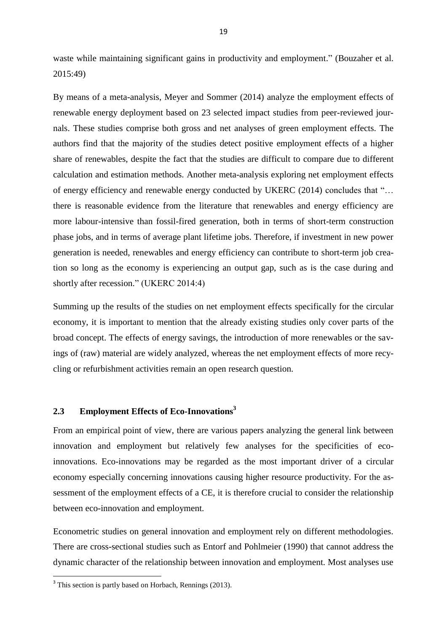waste while maintaining significant gains in productivity and employment." (Bouzaher et al. 2015:49)

By means of a meta-analysis, Meyer and Sommer (2014) analyze the employment effects of renewable energy deployment based on 23 selected impact studies from peer-reviewed journals. These studies comprise both gross and net analyses of green employment effects. The authors find that the majority of the studies detect positive employment effects of a higher share of renewables, despite the fact that the studies are difficult to compare due to different calculation and estimation methods. Another meta-analysis exploring net employment effects of energy efficiency and renewable energy conducted by UKERC (2014) concludes that "… there is reasonable evidence from the literature that renewables and energy efficiency are more labour-intensive than fossil-fired generation, both in terms of short-term construction phase jobs, and in terms of average plant lifetime jobs. Therefore, if investment in new power generation is needed, renewables and energy efficiency can contribute to short-term job creation so long as the economy is experiencing an output gap, such as is the case during and shortly after recession." (UKERC 2014:4)

Summing up the results of the studies on net employment effects specifically for the circular economy, it is important to mention that the already existing studies only cover parts of the broad concept. The effects of energy savings, the introduction of more renewables or the savings of (raw) material are widely analyzed, whereas the net employment effects of more recycling or refurbishment activities remain an open research question.

## **2.3 Employment Effects of Eco-Innovations<sup>3</sup>**

From an empirical point of view, there are various papers analyzing the general link between innovation and employment but relatively few analyses for the specificities of ecoinnovations. Eco-innovations may be regarded as the most important driver of a circular economy especially concerning innovations causing higher resource productivity. For the assessment of the employment effects of a CE, it is therefore crucial to consider the relationship between eco-innovation and employment.

Econometric studies on general innovation and employment rely on different methodologies. There are cross-sectional studies such as Entorf and Pohlmeier (1990) that cannot address the dynamic character of the relationship between innovation and employment. Most analyses use

**.** 

<sup>&</sup>lt;sup>3</sup> This section is partly based on Horbach, Rennings (2013).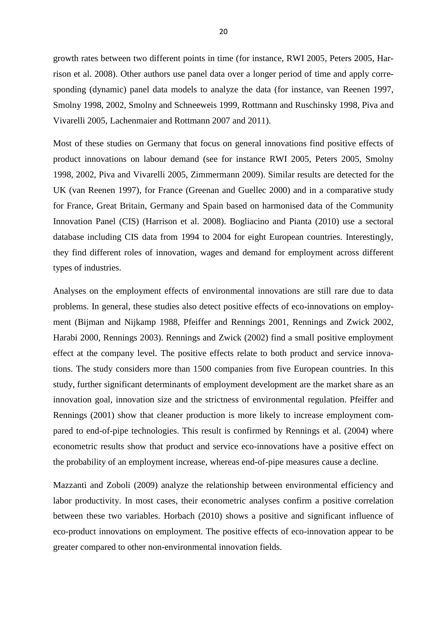growth rates between two different points in time (for instance, RWI 2005, Peters 2005, Harrison et al. 2008). Other authors use panel data over a longer period of time and apply corresponding (dynamic) panel data models to analyze the data (for instance, van Reenen 1997, Smolny 1998, 2002, Smolny and Schneeweis 1999, Rottmann and Ruschinsky 1998, Piva and Vivarelli 2005, Lachenmaier and Rottmann 2007 and 2011).

Most of these studies on Germany that focus on general innovations find positive effects of product innovations on labour demand (see for instance RWI 2005, Peters 2005, Smolny 1998, 2002, Piva and Vivarelli 2005, Zimmermann 2009). Similar results are detected for the UK (van Reenen 1997), for France (Greenan and Guellec 2000) and in a comparative study for France, Great Britain, Germany and Spain based on harmonised data of the Community Innovation Panel (CIS) (Harrison et al. 2008). Bogliacino and Pianta (2010) use a sectoral database including CIS data from 1994 to 2004 for eight European countries. Interestingly, they find different roles of innovation, wages and demand for employment across different types of industries.

Analyses on the employment effects of environmental innovations are still rare due to data problems. In general, these studies also detect positive effects of eco-innovations on employment (Bijman and Nijkamp 1988, Pfeiffer and Rennings 2001, Rennings and Zwick 2002, Harabi 2000, Rennings 2003). Rennings and Zwick (2002) find a small positive employment effect at the company level. The positive effects relate to both product and service innovations. The study considers more than 1500 companies from five European countries. In this study, further significant determinants of employment development are the market share as an innovation goal, innovation size and the strictness of environmental regulation. Pfeiffer and Rennings (2001) show that cleaner production is more likely to increase employment compared to end-of-pipe technologies. This result is confirmed by Rennings et al. (2004) where econometric results show that product and service eco-innovations have a positive effect on the probability of an employment increase, whereas end-of-pipe measures cause a decline.

Mazzanti and Zoboli (2009) analyze the relationship between environmental efficiency and labor productivity. In most cases, their econometric analyses confirm a positive correlation between these two variables. Horbach (2010) shows a positive and significant influence of eco-product innovations on employment. The positive effects of eco-innovation appear to be greater compared to other non-environmental innovation fields.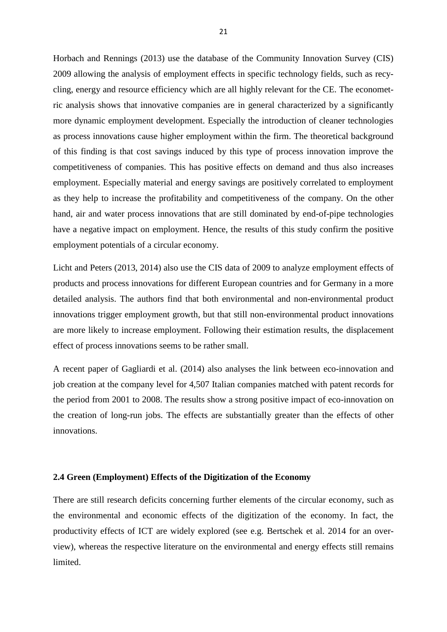Horbach and Rennings (2013) use the database of the Community Innovation Survey (CIS) 2009 allowing the analysis of employment effects in specific technology fields, such as recycling, energy and resource efficiency which are all highly relevant for the CE. The econometric analysis shows that innovative companies are in general characterized by a significantly more dynamic employment development. Especially the introduction of cleaner technologies as process innovations cause higher employment within the firm. The theoretical background of this finding is that cost savings induced by this type of process innovation improve the competitiveness of companies. This has positive effects on demand and thus also increases employment. Especially material and energy savings are positively correlated to employment as they help to increase the profitability and competitiveness of the company. On the other hand, air and water process innovations that are still dominated by end-of-pipe technologies have a negative impact on employment. Hence, the results of this study confirm the positive employment potentials of a circular economy.

Licht and Peters (2013, 2014) also use the CIS data of 2009 to analyze employment effects of products and process innovations for different European countries and for Germany in a more detailed analysis. The authors find that both environmental and non-environmental product innovations trigger employment growth, but that still non-environmental product innovations are more likely to increase employment. Following their estimation results, the displacement effect of process innovations seems to be rather small.

A recent paper of Gagliardi et al. (2014) also analyses the link between eco-innovation and job creation at the company level for 4,507 Italian companies matched with patent records for the period from 2001 to 2008. The results show a strong positive impact of eco-innovation on the creation of long-run jobs. The effects are substantially greater than the effects of other innovations.

### **2.4 Green (Employment) Effects of the Digitization of the Economy**

There are still research deficits concerning further elements of the circular economy, such as the environmental and economic effects of the digitization of the economy. In fact, the productivity effects of ICT are widely explored (see e.g. Bertschek et al. 2014 for an overview), whereas the respective literature on the environmental and energy effects still remains limited.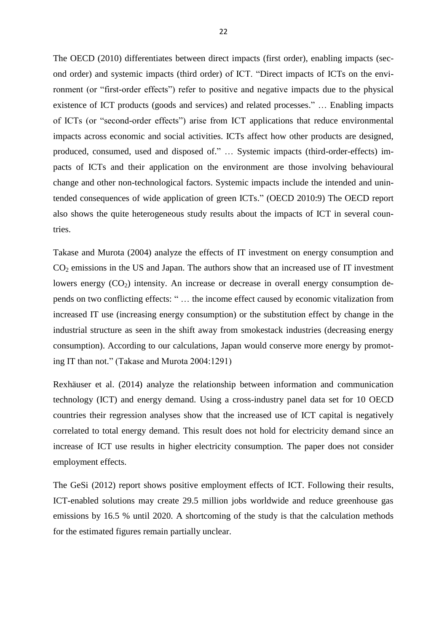The OECD (2010) differentiates between direct impacts (first order), enabling impacts (second order) and systemic impacts (third order) of ICT. "Direct impacts of ICTs on the environment (or "first-order effects") refer to positive and negative impacts due to the physical existence of ICT products (goods and services) and related processes." … Enabling impacts of ICTs (or "second-order effects") arise from ICT applications that reduce environmental impacts across economic and social activities. ICTs affect how other products are designed, produced, consumed, used and disposed of." … Systemic impacts (third-order-effects) impacts of ICTs and their application on the environment are those involving behavioural change and other non-technological factors. Systemic impacts include the intended and unintended consequences of wide application of green ICTs." (OECD 2010:9) The OECD report also shows the quite heterogeneous study results about the impacts of ICT in several countries.

Takase and Murota (2004) analyze the effects of IT investment on energy consumption and  $CO<sub>2</sub>$  emissions in the US and Japan. The authors show that an increased use of IT investment lowers energy  $(CO_2)$  intensity. An increase or decrease in overall energy consumption depends on two conflicting effects: " … the income effect caused by economic vitalization from increased IT use (increasing energy consumption) or the substitution effect by change in the industrial structure as seen in the shift away from smokestack industries (decreasing energy consumption). According to our calculations, Japan would conserve more energy by promoting IT than not." (Takase and Murota 2004:1291)

Rexhäuser et al. (2014) analyze the relationship between information and communication technology (ICT) and energy demand. Using a cross-industry panel data set for 10 OECD countries their regression analyses show that the increased use of ICT capital is negatively correlated to total energy demand. This result does not hold for electricity demand since an increase of ICT use results in higher electricity consumption. The paper does not consider employment effects.

The GeSi (2012) report shows positive employment effects of ICT. Following their results, ICT-enabled solutions may create 29.5 million jobs worldwide and reduce greenhouse gas emissions by 16.5 % until 2020. A shortcoming of the study is that the calculation methods for the estimated figures remain partially unclear.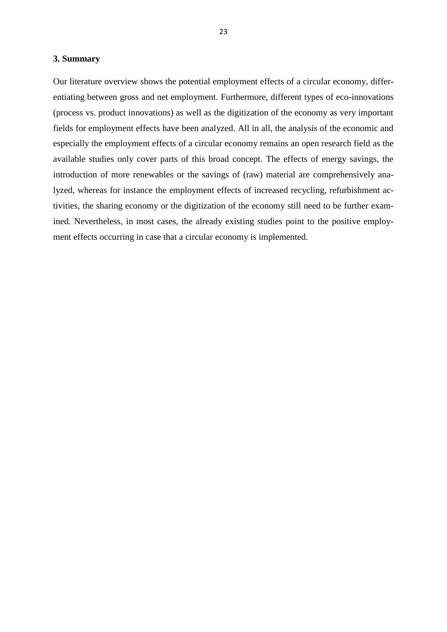#### **3. Summary**

Our literature overview shows the potential employment effects of a circular economy, differentiating between gross and net employment. Furthermore, different types of eco-innovations (process vs. product innovations) as well as the digitization of the economy as very important fields for employment effects have been analyzed. All in all, the analysis of the economic and especially the employment effects of a circular economy remains an open research field as the available studies only cover parts of this broad concept. The effects of energy savings, the introduction of more renewables or the savings of (raw) material are comprehensively analyzed, whereas for instance the employment effects of increased recycling, refurbishment activities, the sharing economy or the digitization of the economy still need to be further examined. Nevertheless, in most cases, the already existing studies point to the positive employment effects occurring in case that a circular economy is implemented.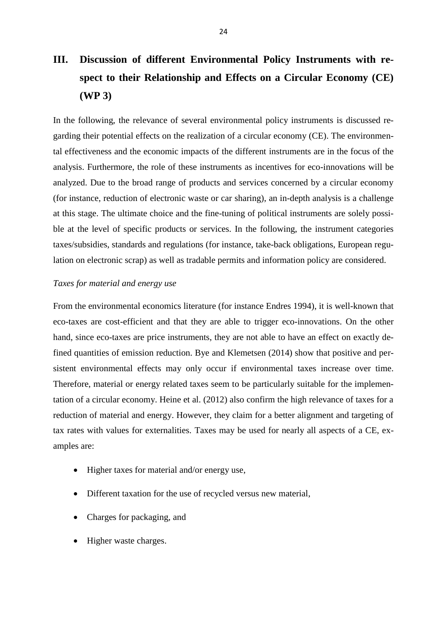# **III. Discussion of different Environmental Policy Instruments with respect to their Relationship and Effects on a Circular Economy (CE) (WP 3)**

In the following, the relevance of several environmental policy instruments is discussed regarding their potential effects on the realization of a circular economy (CE). The environmental effectiveness and the economic impacts of the different instruments are in the focus of the analysis. Furthermore, the role of these instruments as incentives for eco-innovations will be analyzed. Due to the broad range of products and services concerned by a circular economy (for instance, reduction of electronic waste or car sharing), an in-depth analysis is a challenge at this stage. The ultimate choice and the fine-tuning of political instruments are solely possible at the level of specific products or services. In the following, the instrument categories taxes/subsidies, standards and regulations (for instance, take-back obligations, European regulation on electronic scrap) as well as tradable permits and information policy are considered.

### *Taxes for material and energy use*

From the environmental economics literature (for instance Endres 1994), it is well-known that eco-taxes are cost-efficient and that they are able to trigger eco-innovations. On the other hand, since eco-taxes are price instruments, they are not able to have an effect on exactly defined quantities of emission reduction. Bye and Klemetsen (2014) show that positive and persistent environmental effects may only occur if environmental taxes increase over time. Therefore, material or energy related taxes seem to be particularly suitable for the implementation of a circular economy. Heine et al. (2012) also confirm the high relevance of taxes for a reduction of material and energy. However, they claim for a better alignment and targeting of tax rates with values for externalities. Taxes may be used for nearly all aspects of a CE, examples are:

- Higher taxes for material and/or energy use,
- Different taxation for the use of recycled versus new material,
- Charges for packaging, and
- Higher waste charges.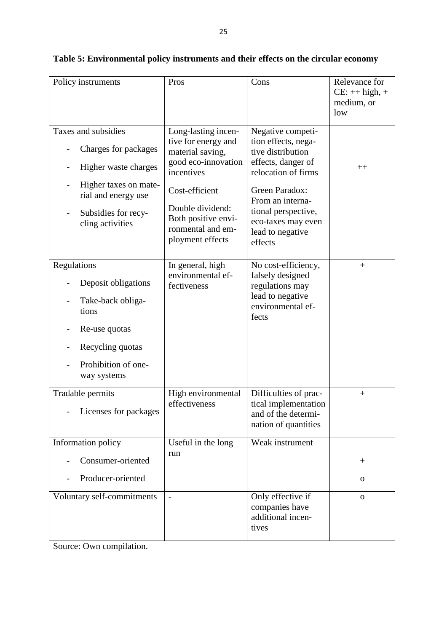| Policy instruments                                                                                                                          | Pros                                                                                                             | Cons                                                                                                                                  | Relevance for<br>$CE:++high,+$<br>medium, or<br>low |
|---------------------------------------------------------------------------------------------------------------------------------------------|------------------------------------------------------------------------------------------------------------------|---------------------------------------------------------------------------------------------------------------------------------------|-----------------------------------------------------|
| Taxes and subsidies                                                                                                                         | Long-lasting incen-<br>tive for energy and                                                                       | Negative competi-<br>tion effects, nega-                                                                                              |                                                     |
| Charges for packages<br>Higher waste charges                                                                                                | material saving,<br>good eco-innovation                                                                          | tive distribution<br>effects, danger of                                                                                               | $++$                                                |
| Higher taxes on mate-<br>$\overline{\phantom{a}}$<br>rial and energy use<br>Subsidies for recy-<br>cling activities                         | incentives<br>Cost-efficient<br>Double dividend:<br>Both positive envi-<br>ronmental and em-<br>ployment effects | relocation of firms<br>Green Paradox:<br>From an interna-<br>tional perspective,<br>eco-taxes may even<br>lead to negative<br>effects |                                                     |
| Regulations<br>Deposit obligations<br>Take-back obliga-<br>tions<br>Re-use quotas<br>Recycling quotas<br>Prohibition of one-<br>way systems | In general, high<br>environmental ef-<br>fectiveness                                                             | No cost-efficiency,<br>falsely designed<br>regulations may<br>lead to negative<br>environmental ef-<br>fects                          | $+$                                                 |
| Tradable permits<br>Licenses for packages                                                                                                   | High environmental<br>effectiveness                                                                              | Difficulties of prac-<br>tical implementation<br>and of the determi-<br>nation of quantities                                          | $^{+}$                                              |
| Information policy                                                                                                                          | Useful in the long                                                                                               | Weak instrument                                                                                                                       |                                                     |
| Consumer-oriented                                                                                                                           | run                                                                                                              |                                                                                                                                       | $\hspace{0.1mm} +$                                  |
| Producer-oriented                                                                                                                           |                                                                                                                  |                                                                                                                                       | $\mathbf 0$                                         |
| Voluntary self-commitments                                                                                                                  | $\overline{a}$                                                                                                   | Only effective if<br>companies have<br>additional incen-<br>tives                                                                     | $\mathbf O$                                         |

## **Table 5: Environmental policy instruments and their effects on the circular economy**

Source: Own compilation.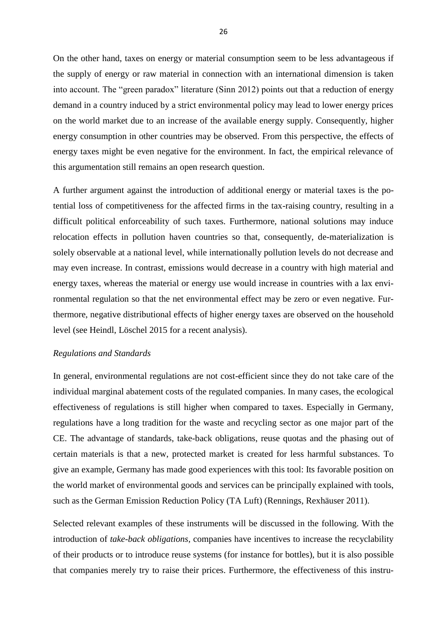On the other hand, taxes on energy or material consumption seem to be less advantageous if the supply of energy or raw material in connection with an international dimension is taken into account. The "green paradox" literature (Sinn 2012) points out that a reduction of energy demand in a country induced by a strict environmental policy may lead to lower energy prices on the world market due to an increase of the available energy supply. Consequently, higher energy consumption in other countries may be observed. From this perspective, the effects of energy taxes might be even negative for the environment. In fact, the empirical relevance of this argumentation still remains an open research question.

A further argument against the introduction of additional energy or material taxes is the potential loss of competitiveness for the affected firms in the tax-raising country, resulting in a difficult political enforceability of such taxes. Furthermore, national solutions may induce relocation effects in pollution haven countries so that, consequently, de-materialization is solely observable at a national level, while internationally pollution levels do not decrease and may even increase. In contrast, emissions would decrease in a country with high material and energy taxes, whereas the material or energy use would increase in countries with a lax environmental regulation so that the net environmental effect may be zero or even negative. Furthermore, negative distributional effects of higher energy taxes are observed on the household level (see Heindl, Löschel 2015 for a recent analysis).

#### *Regulations and Standards*

In general, environmental regulations are not cost-efficient since they do not take care of the individual marginal abatement costs of the regulated companies. In many cases, the ecological effectiveness of regulations is still higher when compared to taxes. Especially in Germany, regulations have a long tradition for the waste and recycling sector as one major part of the CE. The advantage of standards, take-back obligations, reuse quotas and the phasing out of certain materials is that a new, protected market is created for less harmful substances. To give an example, Germany has made good experiences with this tool: Its favorable position on the world market of environmental goods and services can be principally explained with tools, such as the German Emission Reduction Policy (TA Luft) (Rennings, Rexhäuser 2011).

Selected relevant examples of these instruments will be discussed in the following. With the introduction of *take-back obligations,* companies have incentives to increase the recyclability of their products or to introduce reuse systems (for instance for bottles), but it is also possible that companies merely try to raise their prices. Furthermore, the effectiveness of this instru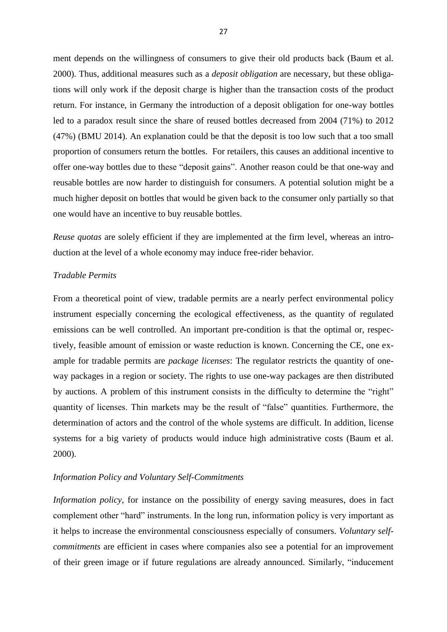ment depends on the willingness of consumers to give their old products back (Baum et al. 2000). Thus, additional measures such as a *deposit obligation* are necessary, but these obligations will only work if the deposit charge is higher than the transaction costs of the product return. For instance, in Germany the introduction of a deposit obligation for one-way bottles led to a paradox result since the share of reused bottles decreased from 2004 (71%) to 2012 (47%) (BMU 2014). An explanation could be that the deposit is too low such that a too small proportion of consumers return the bottles. For retailers, this causes an additional incentive to offer one-way bottles due to these "deposit gains". Another reason could be that one-way and reusable bottles are now harder to distinguish for consumers. A potential solution might be a much higher deposit on bottles that would be given back to the consumer only partially so that one would have an incentive to buy reusable bottles.

*Reuse quotas* are solely efficient if they are implemented at the firm level, whereas an introduction at the level of a whole economy may induce free-rider behavior.

## *Tradable Permits*

From a theoretical point of view, tradable permits are a nearly perfect environmental policy instrument especially concerning the ecological effectiveness, as the quantity of regulated emissions can be well controlled. An important pre-condition is that the optimal or, respectively, feasible amount of emission or waste reduction is known. Concerning the CE, one example for tradable permits are *package licenses*: The regulator restricts the quantity of oneway packages in a region or society. The rights to use one-way packages are then distributed by auctions. A problem of this instrument consists in the difficulty to determine the "right" quantity of licenses. Thin markets may be the result of "false" quantities. Furthermore, the determination of actors and the control of the whole systems are difficult. In addition, license systems for a big variety of products would induce high administrative costs (Baum et al. 2000).

#### *Information Policy and Voluntary Self-Commitments*

*Information policy,* for instance on the possibility of energy saving measures, does in fact complement other "hard" instruments. In the long run, information policy is very important as it helps to increase the environmental consciousness especially of consumers. *Voluntary selfcommitments* are efficient in cases where companies also see a potential for an improvement of their green image or if future regulations are already announced. Similarly, "inducement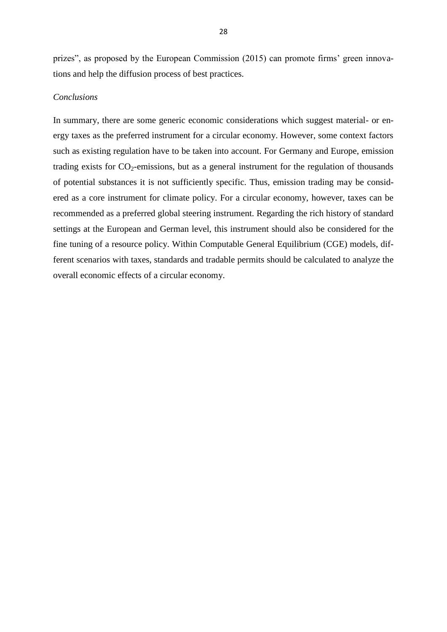prizes", as proposed by the European Commission (2015) can promote firms' green innovations and help the diffusion process of best practices.

## *Conclusions*

In summary, there are some generic economic considerations which suggest material- or energy taxes as the preferred instrument for a circular economy. However, some context factors such as existing regulation have to be taken into account. For Germany and Europe, emission trading exists for  $CO_2$ -emissions, but as a general instrument for the regulation of thousands of potential substances it is not sufficiently specific. Thus, emission trading may be considered as a core instrument for climate policy. For a circular economy, however, taxes can be recommended as a preferred global steering instrument. Regarding the rich history of standard settings at the European and German level, this instrument should also be considered for the fine tuning of a resource policy. Within Computable General Equilibrium (CGE) models, different scenarios with taxes, standards and tradable permits should be calculated to analyze the overall economic effects of a circular economy.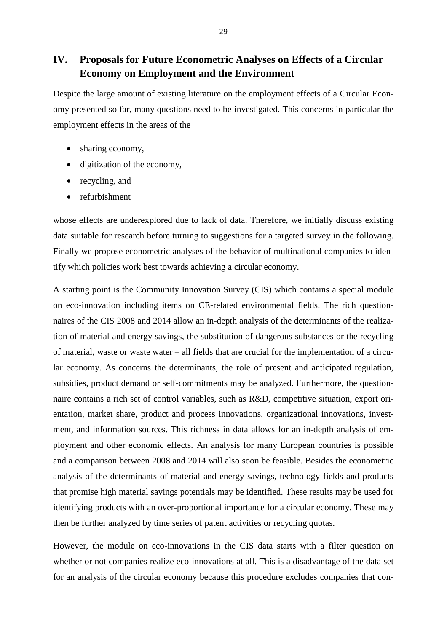## **IV. Proposals for Future Econometric Analyses on Effects of a Circular Economy on Employment and the Environment**

Despite the large amount of existing literature on the employment effects of a Circular Economy presented so far, many questions need to be investigated. This concerns in particular the employment effects in the areas of the

- sharing economy,
- digitization of the economy,
- recycling, and
- refurbishment

whose effects are underexplored due to lack of data. Therefore, we initially discuss existing data suitable for research before turning to suggestions for a targeted survey in the following. Finally we propose econometric analyses of the behavior of multinational companies to identify which policies work best towards achieving a circular economy.

A starting point is the Community Innovation Survey (CIS) which contains a special module on eco-innovation including items on CE-related environmental fields. The rich questionnaires of the CIS 2008 and 2014 allow an in-depth analysis of the determinants of the realization of material and energy savings, the substitution of dangerous substances or the recycling of material, waste or waste water – all fields that are crucial for the implementation of a circular economy. As concerns the determinants, the role of present and anticipated regulation, subsidies, product demand or self-commitments may be analyzed. Furthermore, the questionnaire contains a rich set of control variables, such as R&D, competitive situation, export orientation, market share, product and process innovations, organizational innovations, investment, and information sources. This richness in data allows for an in-depth analysis of employment and other economic effects. An analysis for many European countries is possible and a comparison between 2008 and 2014 will also soon be feasible. Besides the econometric analysis of the determinants of material and energy savings, technology fields and products that promise high material savings potentials may be identified. These results may be used for identifying products with an over-proportional importance for a circular economy. These may then be further analyzed by time series of patent activities or recycling quotas.

However, the module on eco-innovations in the CIS data starts with a filter question on whether or not companies realize eco-innovations at all. This is a disadvantage of the data set for an analysis of the circular economy because this procedure excludes companies that con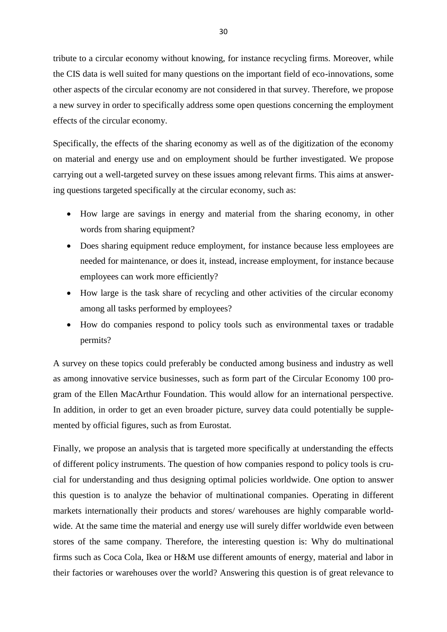tribute to a circular economy without knowing, for instance recycling firms. Moreover, while the CIS data is well suited for many questions on the important field of eco-innovations, some other aspects of the circular economy are not considered in that survey. Therefore, we propose a new survey in order to specifically address some open questions concerning the employment effects of the circular economy.

Specifically, the effects of the sharing economy as well as of the digitization of the economy on material and energy use and on employment should be further investigated. We propose carrying out a well-targeted survey on these issues among relevant firms. This aims at answering questions targeted specifically at the circular economy, such as:

- How large are savings in energy and material from the sharing economy, in other words from sharing equipment?
- Does sharing equipment reduce employment, for instance because less employees are needed for maintenance, or does it, instead, increase employment, for instance because employees can work more efficiently?
- How large is the task share of recycling and other activities of the circular economy among all tasks performed by employees?
- How do companies respond to policy tools such as environmental taxes or tradable permits?

A survey on these topics could preferably be conducted among business and industry as well as among innovative service businesses, such as form part of the Circular Economy 100 program of the Ellen MacArthur Foundation. This would allow for an international perspective. In addition, in order to get an even broader picture, survey data could potentially be supplemented by official figures, such as from Eurostat.

Finally, we propose an analysis that is targeted more specifically at understanding the effects of different policy instruments. The question of how companies respond to policy tools is crucial for understanding and thus designing optimal policies worldwide. One option to answer this question is to analyze the behavior of multinational companies. Operating in different markets internationally their products and stores/ warehouses are highly comparable worldwide. At the same time the material and energy use will surely differ worldwide even between stores of the same company. Therefore, the interesting question is: Why do multinational firms such as Coca Cola, Ikea or H&M use different amounts of energy, material and labor in their factories or warehouses over the world? Answering this question is of great relevance to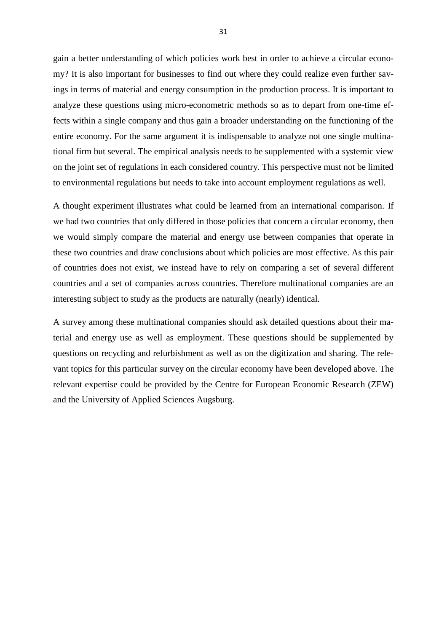gain a better understanding of which policies work best in order to achieve a circular economy? It is also important for businesses to find out where they could realize even further savings in terms of material and energy consumption in the production process. It is important to analyze these questions using micro-econometric methods so as to depart from one-time effects within a single company and thus gain a broader understanding on the functioning of the entire economy. For the same argument it is indispensable to analyze not one single multinational firm but several. The empirical analysis needs to be supplemented with a systemic view on the joint set of regulations in each considered country. This perspective must not be limited to environmental regulations but needs to take into account employment regulations as well.

A thought experiment illustrates what could be learned from an international comparison. If we had two countries that only differed in those policies that concern a circular economy, then we would simply compare the material and energy use between companies that operate in these two countries and draw conclusions about which policies are most effective. As this pair of countries does not exist, we instead have to rely on comparing a set of several different countries and a set of companies across countries. Therefore multinational companies are an interesting subject to study as the products are naturally (nearly) identical.

A survey among these multinational companies should ask detailed questions about their material and energy use as well as employment. These questions should be supplemented by questions on recycling and refurbishment as well as on the digitization and sharing. The relevant topics for this particular survey on the circular economy have been developed above. The relevant expertise could be provided by the Centre for European Economic Research (ZEW) and the University of Applied Sciences Augsburg.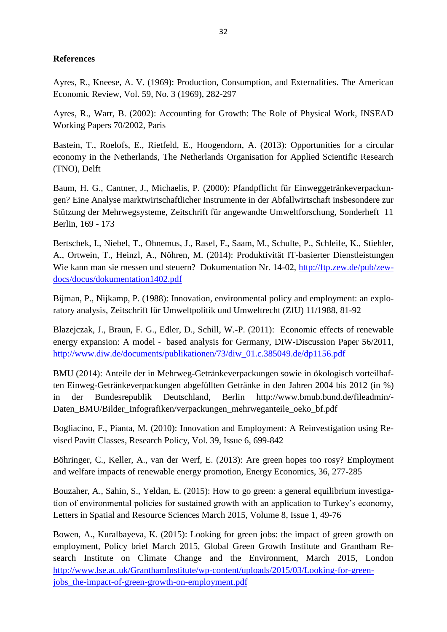## **References**

Ayres, R., Kneese, A. V. (1969): Production, Consumption, and Externalities. The American Economic Review, Vol. 59, No. 3 (1969), 282-297

Ayres, R., Warr, B. (2002): Accounting for Growth: The Role of Physical Work, INSEAD Working Papers 70/2002, Paris

Bastein, T., Roelofs, E., Rietfeld, E., Hoogendorn, A. (2013): Opportunities for a circular economy in the Netherlands, The Netherlands Organisation for Applied Scientific Research (TNO), Delft

Baum, H. G., Cantner, J., Michaelis, P. (2000): Pfandpflicht für Einweggetränkeverpackungen? Eine Analyse marktwirtschaftlicher Instrumente in der Abfallwirtschaft insbesondere zur Stützung der Mehrwegsysteme, Zeitschrift für angewandte Umweltforschung, Sonderheft 11 Berlin, 169 - 173

Bertschek, I., Niebel, T., Ohnemus, J., Rasel, F., Saam, M., Schulte, P., Schleife, K., Stiehler, A., Ortwein, T., Heinzl, A., Nöhren, M. (2014): Produktivität IT-basierter Dienstleistungen Wie kann man sie messen und steuern? Dokumentation Nr. 14-02, [http://ftp.zew.de/pub/zew](http://ftp.zew.de/pub/zew-docs/docus/dokumentation1402.pdf)[docs/docus/dokumentation1402.pdf](http://ftp.zew.de/pub/zew-docs/docus/dokumentation1402.pdf)

Bijman, P., Nijkamp, P. (1988): Innovation, environmental policy and employment: an exploratory analysis, Zeitschrift für Umweltpolitik und Umweltrecht (ZfU) 11/1988, 81-92

Blazejczak, J., Braun, F. G., Edler, D., Schill, W.-P. (2011): Economic effects of renewable energy expansion: A model ‐ based analysis for Germany, DIW-Discussion Paper 56/2011, [http://www.diw.de/documents/publikationen/73/diw\\_01.c.385049.de/dp1156.pdf](http://www.diw.de/documents/publikationen/73/diw_01.c.385049.de/dp1156.pdf)

BMU (2014): Anteile der in Mehrweg-Getränkeverpackungen sowie in ökologisch vorteilhaften Einweg-Getränkeverpackungen abgefüllten Getränke in den Jahren 2004 bis 2012 (in %) in der Bundesrepublik Deutschland, Berlin http://www.bmub.bund.de/fileadmin/- Daten\_BMU/Bilder\_Infografiken/verpackungen\_mehrweganteile\_oeko\_bf.pdf

Bogliacino, F., Pianta, M. (2010): Innovation and Employment: A Reinvestigation using Revised Pavitt Classes, Research Policy, Vol. 39, Issue 6, 699-842

Böhringer, C., Keller, A., van der Werf, E. (2013): Are green hopes too rosy? Employment and welfare impacts of renewable energy promotion, Energy Economics, 36, 277-285

[Bouzaher,](http://link.springer.com/search?facet-author=%22Aziz+Bouzaher%22) A., [Sahin,](http://link.springer.com/search?facet-author=%22Sebnem+Sahin%22) S., [Yeldan,](http://link.springer.com/search?facet-author=%22Erin%C3%A7+Yeldan%22) E. (2015): How to go green: a general equilibrium investigation of environmental policies for sustained growth with an application to Turkey's economy, Letters in Spatial and Resource Sciences March 2015, Volume 8, [Issue 1,](http://link.springer.com/journal/12076/8/1/page/1) 49-76

Bowen, A., Kuralbayeva, K. (2015): Looking for green jobs: the impact of green growth on employment, Policy brief March 2015, Global Green Growth Institute and Grantham Research Institute on Climate Change and the Environment, March 2015, London [http://www.lse.ac.uk/GranthamInstitute/wp-content/uploads/2015/03/Looking-for-green](http://www.lse.ac.uk/GranthamInstitute/wp-content/uploads/2015/03/Looking-for-green-jobs_the-impact-of-green-growth-on-employment.pdf)[jobs\\_the-impact-of-green-growth-on-employment.pdf](http://www.lse.ac.uk/GranthamInstitute/wp-content/uploads/2015/03/Looking-for-green-jobs_the-impact-of-green-growth-on-employment.pdf)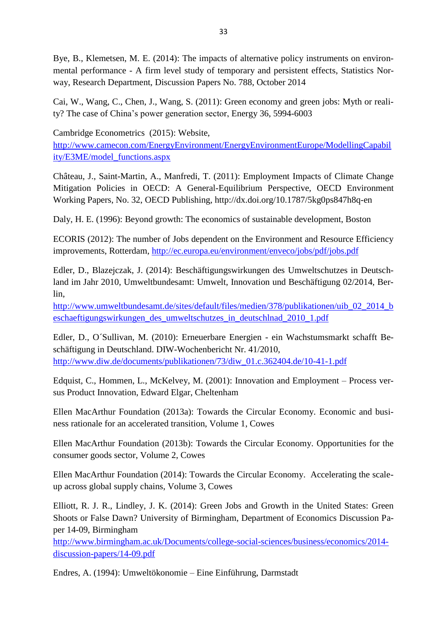Bye, B., Klemetsen, M. E. (2014): The impacts of alternative policy instruments on environmental performance - A firm level study of temporary and persistent effects, Statistics Norway, Research Department, Discussion Papers No. 788, October 2014

Cai, W., Wang, C., Chen, J., Wang, S. (2011): Green economy and green jobs: Myth or reality? The case of China's power generation sector, Energy 36, 5994-6003

Cambridge Econometrics (2015): Website,

[http://www.camecon.com/EnergyEnvironment/EnergyEnvironmentEurope/ModellingCapabil](http://www.camecon.com/EnergyEnvironment/EnergyEnvironmentEurope/ModellingCapability/E3ME/model_functions.aspx) [ity/E3ME/model\\_functions.aspx](http://www.camecon.com/EnergyEnvironment/EnergyEnvironmentEurope/ModellingCapability/E3ME/model_functions.aspx)

Château, J., Saint-Martin, A., Manfredi, T. (2011): Employment Impacts of Climate Change Mitigation Policies in OECD: A General-Equilibrium Perspective, OECD Environment Working Papers, No. 32, OECD Publishing, http://dx.doi.org/10.1787/5kg0ps847h8q-en

Daly, H. E. (1996): Beyond growth: The economics of sustainable development, Boston

ECORIS (2012): The number of Jobs dependent on the Environment and Resource Efficiency improvements, Rotterdam,<http://ec.europa.eu/environment/enveco/jobs/pdf/jobs.pdf>

Edler, D., Blazejczak, J. (2014): Beschäftigungswirkungen des Umweltschutzes in Deutschland im Jahr 2010, Umweltbundesamt: Umwelt, Innovation und Beschäftigung 02/2014, Berlin,

[http://www.umweltbundesamt.de/sites/default/files/medien/378/publikationen/uib\\_02\\_2014\\_b](http://www.umweltbundesamt.de/sites/default/files/medien/378/publikationen/uib_02_2014_beschaeftigungswirkungen_des_umweltschutzes_in_deutschlnad_2010_1.pdf) [eschaeftigungswirkungen\\_des\\_umweltschutzes\\_in\\_deutschlnad\\_2010\\_1.pdf](http://www.umweltbundesamt.de/sites/default/files/medien/378/publikationen/uib_02_2014_beschaeftigungswirkungen_des_umweltschutzes_in_deutschlnad_2010_1.pdf)

Edler, D., O´Sullivan, M. (2010): Erneuerbare Energien - ein Wachstumsmarkt schafft Beschäftigung in Deutschland. DIW-Wochenbericht Nr. 41/2010, [http://www.diw.de/documents/publikationen/73/diw\\_01.c.362404.de/10-41-1.pdf](http://www.diw.de/documents/publikationen/73/diw_01.c.362404.de/10-41-1.pdf)

Edquist, C., Hommen, L., McKelvey, M. (2001): Innovation and Employment – Process versus Product Innovation, Edward Elgar, Cheltenham

Ellen MacArthur Foundation (2013a): Towards the Circular Economy. Economic and business rationale for an accelerated transition, Volume 1, Cowes

Ellen MacArthur Foundation (2013b): Towards the Circular Economy. Opportunities for the consumer goods sector, Volume 2, Cowes

Ellen MacArthur Foundation (2014): Towards the Circular Economy. Accelerating the scaleup across global supply chains, Volume 3, Cowes

Elliott, R. J. R., Lindley, J. K. (2014): Green Jobs and Growth in the United States: Green Shoots or False Dawn? University of Birmingham, Department of Economics Discussion Paper 14-09, Birmingham

[http://www.birmingham.ac.uk/Documents/college-social-sciences/business/economics/2014](http://www.birmingham.ac.uk/Documents/college-social-sciences/business/economics/2014-discussion-papers/14-09.pdf) [discussion-papers/14-09.pdf](http://www.birmingham.ac.uk/Documents/college-social-sciences/business/economics/2014-discussion-papers/14-09.pdf)

Endres, A. (1994): Umweltökonomie – Eine Einführung, Darmstadt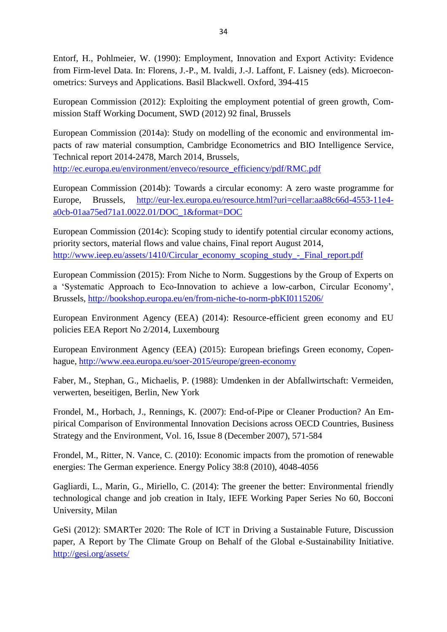Entorf, H., Pohlmeier, W. (1990): Employment, Innovation and Export Activity: Evidence from Firm-level Data. In: Florens, J.-P., M. Ivaldi, J.-J. Laffont, F. Laisney (eds). Microeconometrics: Surveys and Applications. Basil Blackwell. Oxford, 394-415

European Commission (2012): Exploiting the employment potential of green growth, Commission Staff Working Document, SWD (2012) 92 final, Brussels

European Commission (2014a): Study on modelling of the economic and environmental impacts of raw material consumption, Cambridge Econometrics and BIO Intelligence Service, Technical report 2014-2478, March 2014, Brussels,

[http://ec.europa.eu/environment/enveco/resource\\_efficiency/pdf/RMC.pdf](http://ec.europa.eu/environment/enveco/resource_efficiency/pdf/RMC.pdf)

European Commission (2014b): Towards a circular economy: A zero waste programme for Europe, Brussels, [http://eur-lex.europa.eu/resource.html?uri=cellar:aa88c66d-4553-11e4](http://eur-lex.europa.eu/resource.html?uri=cellar:aa88c66d-4553-11e4-a0cb-01aa75ed71a1.0022.01/DOC_1&format=DOC) [a0cb-01aa75ed71a1.0022.01/DOC\\_1&format=DOC](http://eur-lex.europa.eu/resource.html?uri=cellar:aa88c66d-4553-11e4-a0cb-01aa75ed71a1.0022.01/DOC_1&format=DOC)

European Commission (2014c): Scoping study to identify potential circular economy actions, priority sectors, material flows and value chains, Final report August 2014, [http://www.ieep.eu/assets/1410/Circular\\_economy\\_scoping\\_study\\_-\\_Final\\_report.pdf](http://www.ieep.eu/assets/1410/Circular_economy_scoping_study_-_Final_report.pdf)

European Commission (2015): From Niche to Norm. Suggestions by the Group of Experts on a 'Systematic Approach to Eco-Innovation to achieve a low-carbon, Circular Economy', Brussels, <http://bookshop.europa.eu/en/from-niche-to-norm-pbKI0115206/>

European Environment Agency (EEA) (2014): Resource-efficient green economy and EU policies EEA Report No 2/2014, Luxembourg

European Environment Agency (EEA) (2015): European briefings Green economy, Copenhague,<http://www.eea.europa.eu/soer-2015/europe/green-economy>

Faber, M., Stephan, G., Michaelis, P. (1988): Umdenken in der Abfallwirtschaft: Vermeiden, verwerten, beseitigen, Berlin, New York

Frondel, M., Horbach, J., Rennings, K. (2007): End-of-Pipe or Cleaner Production? An Empirical Comparison of Environmental Innovation Decisions across OECD Countries, Business Strategy and the Environment, Vol. 16, Issue 8 (December 2007), 571-584

Frondel, M., Ritter, N. Vance, C. (2010): Economic impacts from the promotion of renewable energies: The German experience. Energy Policy 38:8 (2010), 4048-4056

Gagliardi, L., Marin, G., Miriello, C. (2014): The greener the better: Environmental friendly technological change and job creation in Italy, IEFE Working Paper Series No 60, Bocconi University, Milan

GeSi (2012): SMARTer 2020: The Role of ICT in Driving a Sustainable Future, Discussion paper, A Report by The Climate Group on Behalf of the Global e-Sustainability Initiative. <http://gesi.org/assets/>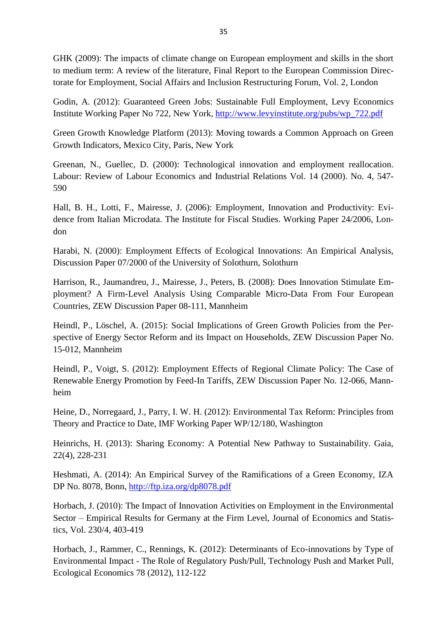GHK (2009): The impacts of climate change on European employment and skills in the short to medium term: A review of the literature, Final Report to the European Commission Directorate for Employment, Social Affairs and Inclusion Restructuring Forum, Vol. 2, London

Godin, A. (2012): Guaranteed Green Jobs: Sustainable Full Employment, Levy Economics Institute Working Paper No 722, New York, [http://www.levyinstitute.org/pubs/wp\\_722.pdf](http://www.levyinstitute.org/pubs/wp_722.pdf)

Green Growth Knowledge Platform (2013): Moving towards a Common Approach on Green Growth Indicators, Mexico City, Paris, New York

Greenan, N., Guellec, D. (2000): Technological innovation and employment reallocation. Labour: Review of Labour Economics and Industrial Relations Vol. 14 (2000). No. 4, 547- 590

Hall, B. H., Lotti, F., Mairesse, J. (2006): Employment, Innovation and Productivity: Evidence from Italian Microdata. The Institute for Fiscal Studies. Working Paper 24/2006, London

Harabi, N. (2000): Employment Effects of Ecological Innovations: An Empirical Analysis, Discussion Paper 07/2000 of the University of Solothurn, Solothurn

Harrison, R., Jaumandreu, J., Mairesse, J., Peters, B. (2008): Does Innovation Stimulate Employment? A Firm-Level Analysis Using Comparable Micro-Data From Four European Countries, ZEW Discussion Paper 08-111, Mannheim

Heindl, P., Löschel, A. (2015): Social Implications of Green Growth Policies from the Perspective of Energy Sector Reform and its Impact on Households, ZEW Discussion Paper No. 15-012, Mannheim

Heindl, P., Voigt, S. (2012): Employment Effects of Regional Climate Policy: The Case of Renewable Energy Promotion by Feed-In Tariffs, ZEW Discussion Paper No. 12-066, Mannheim

Heine, D., Norregaard, J., Parry, I. W. H. (2012): Environmental Tax Reform: Principles from Theory and Practice to Date, IMF Working Paper WP/12/180, Washington

Heinrichs, H. (2013): Sharing Economy: A Potential New Pathway to Sustainability. Gaia, 22(4), 228-231

Heshmati, A. (2014): An Empirical Survey of the Ramifications of a Green Economy, IZA DP No. 8078, Bonn,<http://ftp.iza.org/dp8078.pdf>

Horbach, J. (2010): The Impact of Innovation Activities on Employment in the Environmental Sector – Empirical Results for Germany at the Firm Level, Journal of Economics and Statistics, Vol. 230/4, 403-419

Horbach, J., Rammer, C., Rennings, K. (2012): Determinants of Eco-innovations by Type of Environmental Impact - The Role of Regulatory Push/Pull, Technology Push and Market Pull, Ecological Economics 78 (2012), 112-122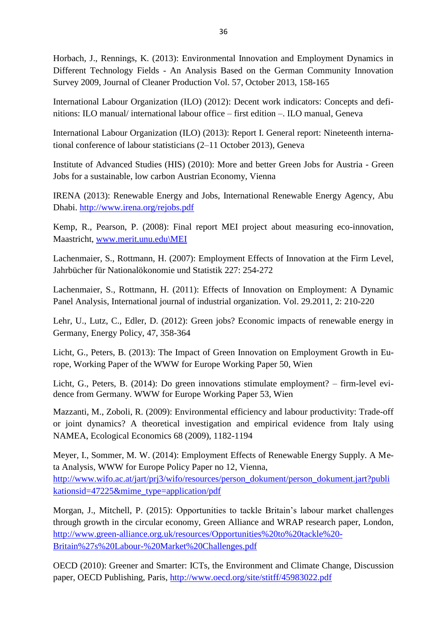Horbach, J., Rennings, K. (2013): Environmental Innovation and Employment Dynamics in Different Technology Fields - An Analysis Based on the German Community Innovation Survey 2009, Journal of Cleaner Production Vol. 57, October 2013, 158-165

International Labour Organization (ILO) (2012): Decent work indicators: Concepts and definitions: ILO manual/ international labour office – first edition –. ILO manual, Geneva

<span id="page-35-0"></span>International Labour Organization (ILO) (2013): Report I. General report: Nineteenth international conference of labour statisticians (2–11 October 2013), Geneva

Institute of Advanced Studies (HIS) (2010): More and better Green Jobs for Austria - Green Jobs for a sustainable, low carbon Austrian Economy, Vienna

IRENA (2013): Renewable Energy and Jobs, International Renewable Energy Agency, Abu Dhabi. <http://www.irena.org/rejobs.pdf>

Kemp, R., Pearson, P. (2008): Final report MEI project about measuring eco-innovation, Maastricht, [www.merit.unu.edu\MEI](http://www.merit.unu.edu/MEI)

Lachenmaier, S., Rottmann, H. (2007): Employment Effects of Innovation at the Firm Level, Jahrbücher für Nationalökonomie und Statistik 227: 254-272

Lachenmaier, S., Rottmann, H. (2011): Effects of Innovation on Employment: A Dynamic Panel Analysis, International journal of industrial organization. Vol. 29.2011, 2: 210-220

Lehr, U., Lutz, C., Edler, D. (2012): Green jobs? Economic impacts of renewable energy in Germany, Energy Policy, 47, 358-364

Licht, G., Peters, B. (2013): The Impact of Green Innovation on Employment Growth in Europe, Working Paper of the WWW for Europe Working Paper 50, Wien

Licht, G., Peters, B. (2014): Do green innovations stimulate employment? – firm-level evidence from Germany. WWW for Europe Working Paper 53, Wien

Mazzanti, M., Zoboli, R. (2009): Environmental efficiency and labour productivity: Trade-off or joint dynamics? A theoretical investigation and empirical evidence from Italy using NAMEA, Ecological Economics 68 (2009), 1182-1194

Meyer, I., Sommer, M. W. (2014): Employment Effects of Renewable Energy Supply. A Meta Analysis, WWW for Europe Policy Paper no 12, Vienna, [http://www.wifo.ac.at/jart/prj3/wifo/resources/person\\_dokument/person\\_dokument.jart?publi](http://www.wifo.ac.at/jart/prj3/wifo/resources/person_dokument/person_dokument.jart?publikationsid=47225&mime_type=application/pdf)

[kationsid=47225&mime\\_type=application/pdf](http://www.wifo.ac.at/jart/prj3/wifo/resources/person_dokument/person_dokument.jart?publikationsid=47225&mime_type=application/pdf)

Morgan, J., Mitchell, P. (2015): Opportunities to tackle Britain's labour market challenges through growth in the circular economy, Green Alliance and WRAP research paper, London, [http://www.green-alliance.org.uk/resources/Opportunities%20to%20tackle%20-](http://www.green-alliance.org.uk/resources/Opportunities%20to%20tackle%20-Britain%27s%20Labour-%20Market%20Challenges.pdf) [Britain%27s%20Labour-%20Market%20Challenges.pdf](http://www.green-alliance.org.uk/resources/Opportunities%20to%20tackle%20-Britain%27s%20Labour-%20Market%20Challenges.pdf)

OECD (2010): Greener and Smarter: ICTs, the Environment and Climate Change, Discussion paper, OECD Publishing, Paris,<http://www.oecd.org/site/stitff/45983022.pdf>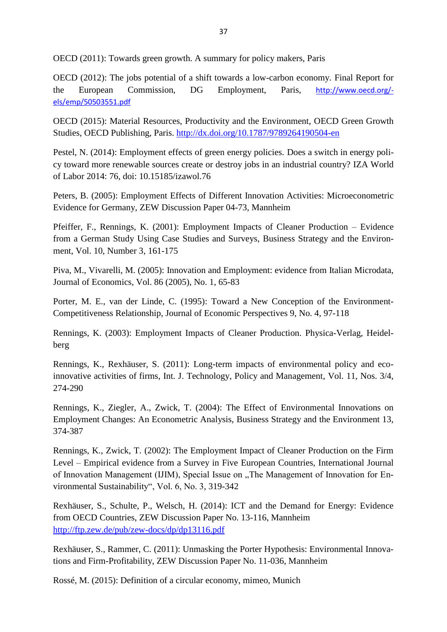OECD (2011): Towards green growth. A summary for policy makers, Paris

OECD (2012): The jobs potential of a shift towards a low-carbon economy. Final Report for the European Commission, DG Employment, Paris, [http://www.oecd.org/](http://www.oecd.org/-els/emp/50503551.pdf) [els/emp/50503551.pdf](http://www.oecd.org/-els/emp/50503551.pdf)

OECD (2015): Material Resources, Productivity and the Environment, OECD Green Growth Studies, OECD Publishing, Paris.<http://dx.doi.org/10.1787/9789264190504-en>

Pestel, N. (2014): Employment effects of green energy policies. Does a switch in energy policy toward more renewable sources create or destroy jobs in an industrial country? IZA World of Labor 2014: 76, doi: 10.15185/izawol.76

Peters, B. (2005): Employment Effects of Different Innovation Activities: Microeconometric Evidence for Germany, ZEW Discussion Paper 04-73, Mannheim

Pfeiffer, F., Rennings, K. (2001): Employment Impacts of Cleaner Production – Evidence from a German Study Using Case Studies and Surveys, Business Strategy and the Environment, Vol. 10, Number 3, 161-175

Piva, M., Vivarelli, M. (2005): Innovation and Employment: evidence from Italian Microdata, Journal of Economics, Vol. 86 (2005), No. 1, 65-83

Porter, M. E., van der Linde, C. (1995): Toward a New Conception of the Environment-Competitiveness Relationship, Journal of Economic Perspectives 9, No. 4, 97-118

Rennings, K. (2003): Employment Impacts of Cleaner Production. Physica-Verlag, Heidelberg

Rennings, K., Rexhäuser, S. (2011): Long-term impacts of environmental policy and ecoinnovative activities of firms, Int. J. Technology, Policy and Management, Vol. 11, Nos. 3/4, 274-290

Rennings, K., Ziegler, A., Zwick, T. (2004): The Effect of Environmental Innovations on Employment Changes: An Econometric Analysis, Business Strategy and the Environment 13, 374-387

Rennings, K., Zwick, T. (2002): The Employment Impact of Cleaner Production on the Firm Level – Empirical evidence from a Survey in Five European Countries, International Journal of Innovation Management (IJIM), Special Issue on "The Management of Innovation for Environmental Sustainability", Vol. 6, No. 3, 319-342

Rexhäuser, S., Schulte, P., Welsch, H. (2014): ICT and the Demand for Energy: Evidence from OECD Countries, ZEW Discussion Paper No. 13-116, Mannheim <http://ftp.zew.de/pub/zew-docs/dp/dp13116.pdf>

Rexhäuser, S., Rammer, C. (2011): Unmasking the Porter Hypothesis: Environmental Innovations and Firm-Profitability, ZEW Discussion Paper No. 11-036, Mannheim

Rossé, M. (2015): Definition of a circular economy, mimeo, Munich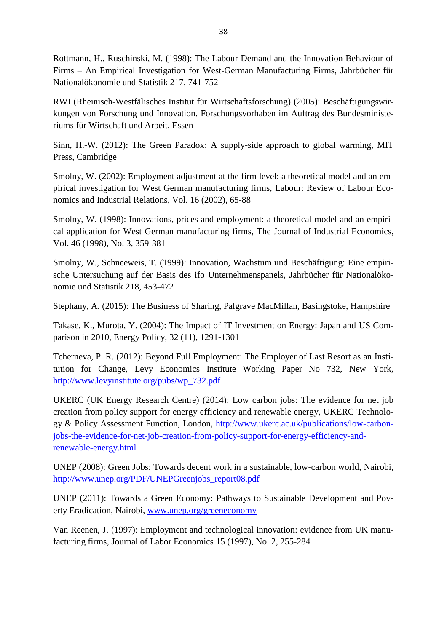Rottmann, H., Ruschinski, M. (1998): The Labour Demand and the Innovation Behaviour of Firms – An Empirical Investigation for West-German Manufacturing Firms, Jahrbücher für Nationalökonomie und Statistik 217, 741-752

RWI (Rheinisch-Westfälisches Institut für Wirtschaftsforschung) (2005): Beschäftigungswirkungen von Forschung und Innovation. Forschungsvorhaben im Auftrag des Bundesministeriums für Wirtschaft und Arbeit, Essen

Sinn, H.-W. (2012): The Green Paradox: A [supply-side](http://lhzbw.gbv.de/DB=1/SET=3/TTL=4/MAT=/NOMAT=T/CLK?IKT=1016&TRM=supply-side) [approach](http://lhzbw.gbv.de/DB=1/SET=3/TTL=4/MAT=/NOMAT=T/CLK?IKT=1016&TRM=approach) to [global](http://lhzbw.gbv.de/DB=1/SET=3/TTL=4/MAT=/NOMAT=T/CLK?IKT=1016&TRM=global) [warming,](http://lhzbw.gbv.de/DB=1/SET=3/TTL=4/MAT=/NOMAT=T/CLK?IKT=1016&TRM=warming) MIT Press, Cambridge

Smolny, W. (2002): Employment adjustment at the firm level: a theoretical model and an empirical investigation for West German manufacturing firms, Labour: Review of Labour Economics and Industrial Relations, Vol. 16 (2002), 65-88

Smolny, W. (1998): Innovations, prices and employment: a theoretical model and an empirical application for West German manufacturing firms, The Journal of Industrial Economics, Vol. 46 (1998), No. 3, 359-381

Smolny, W., Schneeweis, T. (1999): Innovation, Wachstum und Beschäftigung: Eine empirische Untersuchung auf der Basis des ifo Unternehmenspanels, Jahrbücher für Nationalökonomie und Statistik 218, 453-472

Stephany, A. (2015): The Business of Sharing, Palgrave MacMillan, Basingstoke, Hampshire

Takase, K., Murota, Y. (2004): The Impact of IT Investment on Energy: Japan and US Comparison in 2010, Energy Policy, 32 (11), 1291-1301

Tcherneva, P. R. (2012): Beyond Full Employment: The Employer of Last Resort as an Institution for Change, Levy Economics Institute Working Paper No 732, New York, [http://www.levyinstitute.org/pubs/wp\\_732.pdf](http://www.levyinstitute.org/pubs/wp_732.pdf)

UKERC (UK Energy Research Centre) (2014): Low carbon jobs: The evidence for net job creation from policy support for energy efficiency and renewable energy, UKERC Technology & Policy Assessment Function, London, [http://www.ukerc.ac.uk/publications/low-carbon](http://www.ukerc.ac.uk/publications/low-carbon-jobs-the-evidence-for-net-job-creation-from-policy-support-for-energy-efficiency-and-renewable-energy.html)[jobs-the-evidence-for-net-job-creation-from-policy-support-for-energy-efficiency-and](http://www.ukerc.ac.uk/publications/low-carbon-jobs-the-evidence-for-net-job-creation-from-policy-support-for-energy-efficiency-and-renewable-energy.html)[renewable-energy.html](http://www.ukerc.ac.uk/publications/low-carbon-jobs-the-evidence-for-net-job-creation-from-policy-support-for-energy-efficiency-and-renewable-energy.html)

UNEP (2008): Green Jobs: Towards decent work in a sustainable, low-carbon world, Nairobi, [http://www.unep.org/PDF/UNEPGreenjobs\\_report08.pdf](http://www.unep.org/PDF/UNEPGreenjobs_report08.pdf)

UNEP (2011): Towards a Green Economy: Pathways to Sustainable Development and Poverty Eradication, Nairobi, [www.unep.org/greeneconomy](http://www.unep.org/greeneconomy)

Van Reenen, J. (1997): Employment and technological innovation: evidence from UK manufacturing firms, Journal of Labor Economics 15 (1997), No. 2, 255-284